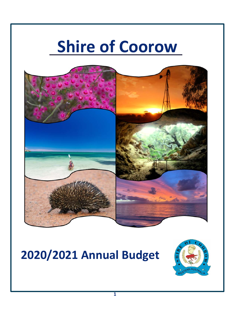# **Shire of Coorow**



# **2020/2021 Annual Budget**

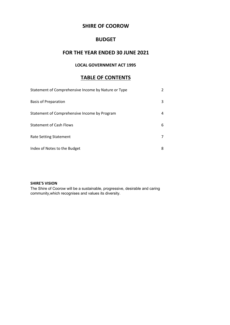# **SHIRE OF COOROW**

# **BUDGET**

# **FOR THE YEAR ENDED 30 JUNE 2021**

# **LOCAL GOVERNMENT ACT 1995**

# **TABLE OF CONTENTS**

| Statement of Comprehensive Income by Nature or Type |   |
|-----------------------------------------------------|---|
| <b>Basis of Preparation</b>                         | 3 |
| Statement of Comprehensive Income by Program        | 4 |
| <b>Statement of Cash Flows</b>                      | 6 |
| Rate Setting Statement                              |   |
| Index of Notes to the Budget                        | 8 |

### **SHIRE'S VISION**

The Shire of Coorow will be a sustainable, progressive, desirable and caring community,which recognises and values its diversity.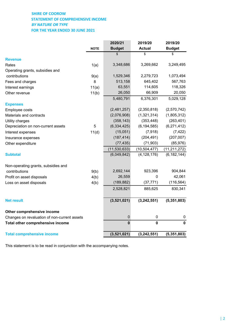# **SHIRE OF COOROW STATEMENT OF COMPREHENSIVE INCOME** *BY NATURE OR TYPE*  **FOR THE YEAR ENDED 30 JUNE 2021**

|                                              |             | 2020/21        | 2019/20        | 2019/20        |
|----------------------------------------------|-------------|----------------|----------------|----------------|
|                                              | <b>NOTE</b> | <b>Budget</b>  | <b>Actual</b>  | <b>Budget</b>  |
|                                              |             | \$             | \$             | \$             |
| <b>Revenue</b>                               |             |                |                |                |
| Rates                                        | 1(a)        | 3,348,686      | 3,269,662      | 3,249,495      |
| Operating grants, subsidies and              |             |                |                |                |
| contributions                                | 9(a)        | 1,529,346      | 2,279,723      | 1,073,494      |
| Fees and charges                             | 8           | 513,158        | 645,402        | 567,763        |
| Interest earnings                            | 11(a)       | 63,551         | 114,605        | 118,326        |
| Other revenue                                | 11(b)       | 26,050         | 66,909         | 20,050         |
|                                              |             | 5,480,791      | 6,376,301      | 5,029,128      |
| <b>Expenses</b>                              |             |                |                |                |
| Employee costs                               |             | (2,481,257)    | (2,350,818)    | (2,570,742)    |
| Materials and contracts                      |             | (2,076,908)    | (1,321,314)    | (1,805,312)    |
| Utility charges                              |             | (358, 143)     | (353, 448)     | (263, 401)     |
| Depreciation on non-current assets           | 5           | (6, 334, 425)  | (6, 194, 585)  | (6, 271, 412)  |
| Interest expenses                            | 11(d)       | (15,051)       | (7, 918)       | (7, 422)       |
| Insurance expenses                           |             | (187, 414)     | (204, 491)     | (207, 007)     |
| Other expenditure                            |             | (77, 435)      | (71, 903)      | (85, 976)      |
|                                              |             | (11, 530, 633) | (10, 504, 477) | (11, 211, 272) |
| <b>Subtotal</b>                              |             | (6,049,842)    | (4, 128, 176)  | (6, 182, 144)  |
| Non-operating grants, subsidies and          |             |                |                |                |
| contributions                                | 9(b)        | 2,692,144      | 923,396        | 904,844        |
| Profit on asset disposals                    | 4(b)        | 26,559         | 0              | 42,061         |
| Loss on asset disposals                      | 4(b)        | (189, 882)     | (37, 771)      | (116, 564)     |
|                                              |             | 2,528,821      | 885,625        | 830,341        |
| <b>Net result</b>                            |             | (3,521,021)    | (3, 242, 551)  | (5, 351, 803)  |
| Other comprehensive income                   |             |                |                |                |
| Changes on revaluation of non-current assets |             | $\pmb{0}$      | $\pmb{0}$      | 0              |
| Total other comprehensive income             |             | $\mathbf 0$    | $\mathbf 0$    | $\mathbf 0$    |
| <b>Total comprehensive income</b>            |             | (3,521,021)    | (3, 242, 551)  | (5, 351, 803)  |

This statement is to be read in conjunction with the accompanying notes.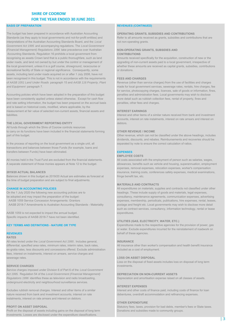# **SHIRE OF COOROW FOR THE YEAR ENDED 30 JUNE 2021**

#### **BASIS OF PREPARATION REVENUES (CONTINUED)**

Standards (as they apply to local governments and not-for-profit entities) and Refer to all amounts received as grants, subsidies and contributions that are interpretations of the Australian Accounting Standards Board, and the *Local* not non-operating grants. *Government Act 1995* and accompanying regulations. The *Local Government (Financial Management) Regulations 1996* take precedence over Australian **NON-OPERATING GRANTS, SUBSIDIES AND**  Accounting Standards. Regulation 16 prohibits a local government from **CONTRIBUTIONS** recognising as assets Crown land that is a public thoroughfare, such as land Amounts received specifically for the acquisition, construction of new or the under roads, and land not owned by but under the control or management of upgrading of non-current assets paid to a local government, irrespective of the local government, unless it is a golf course, showground, racecourse or whether these amounts are received as capital grants, subsidies, contributions recreational facility of State or regional significance. Consequently, some or donations. assets, including land under roads acquired on or after 1 July 2008, have not been recognised in this budget. This is not in accordance with the requirements **FEES AND CHARGES** *of AASB 1051 Land Under Roads* paragraph 15 and *AASB 116 Property, Plant* Revenue (other than service charges) from the use of facilities and charges *and Equipment* paragraph 7. made for local government services, sewerage rates, rentals, hire charges, fee

have been consistently applied unless stated otherwise. Except for cash flow more detail such as rubbish collection fees, rental of property, fines and and rate setting information, the budget has been prepared on the accrual basis penalties, other fees and charges. and is based on historical costs, modified, where applicable, by the measurement at fair value of selected non-current assets, financial assets and **INTEREST EARNINGS** liabilities. Interest and other items of a similar nature received from bank and investment

#### **THE LOCAL GOVERNMENT REPORTING ENTITY EXECUTES A REPORTING ENTITY** debtors.

All funds through which the Shire of Coorow controls resources to carry on its functions have been included in the financial statements forming **OTHER REVENUE / INCOME** part of this budget. Other revenue, which can not be classified under the above headings, includes

In the process of reporting on the local government as a single unit, all separated by note to ensure the correct calculation of ratios. transactions and balances between those Funds (for example, loans and transfers between Funds) have been eliminated. **EXPENSES**

All monies held in the Trust Fund are excluded from the financial statements. All costs associated with the employment of person such as salaries, wages,

Balances shown in this budget as 2019/20 Actual are estimates as forecast at fringe benefit tax, etc. the time of budget preparation and are subject to final adjustments.

AASB 1059 is not expected to impact the annual budget. **Example 2018** 1059 is not expenditures. Specific impacts of AASB 2018-7 have not been identified.

#### **RATES**

All rates levied under the *Local Government Act 1995* . Includes general, **INSURANCE** differential, specified area rates, minimum rates, interim rates, back rates, **All insurance other than worker's compensation and health benefit insurance** ex-gratia rates, less discounts and concessions offered. Exclude administration included as a cost of employment. fees, interest on instalments, interest on arrears, service charges and sewerage rates. **LOSS ON ASSET DISPOSAL**

#### **SERVICE CHARGES investments.**

Service charges imposed under Division 6 of Part 6 of the *Local Government Act 1995.* Regulation 54 of the *Local Government (Financial Management)* **DEPRECIATION ON NON-CURRENT ASSETS** *Regulations 1996* identifies these as television and radio broadcasting, **Depreciation and amortisation expense raised on all classes of assets.** underground electricity and neighbourhood surveillance services.

nature received from bank and investment accounts, interest on rate debentures, overdraft accommodation and refinancing expenses. instalments, interest on rate arrears and interest on debtors.

Profit on the disposal of assets including gains on the disposal of long term Donations and subsidies made to community groups. investments. Losses are disclosed under the expenditure classifications.

#### The budget has been prepared in accordance with Australian Accounting **OPERATING GRANTS, SUBSIDIES AND CONTRIBUTIONS**

for service, photocopying charges, licences, sale of goods or information, fines, Accounting policies which have been adopted in the preparation of this budget penalties and administration fees. Local governments may wish to disclose

accounts, interest on rate instalments, interest on rate arrears and interest on

dividends, discounts, and rebates. Reimbursements and recoveries should be

#### **EMPLOYEE COSTS**

A separate statement of those monies appears at Note 12 to the budget. allowances, benefits such as vehicle and housing, superannuation, employment expenses, removal expenses, relocation expenses, worker's compensation **2019/20 ACTUAL BALANCES** insurance, training costs, conferences safety expenses, medical examinations,

#### **MATERIALS AND CONTRACTS**

**CHANGE IN ACCOUNTING POLICIES All expenditures on materials, supplies and contracts not classified under other** On the 1 July 2020 the following new accounting policies are to headings. These include supply of goods and materials, legal expenses, be adopted and may impact the preparation of the budget: consultancy, maintenance agreements, communication expenses, advertising AASB 1059 Service Concession Arrangements: Grantors expenses, membership, periodicals, publications, hire expenses, rental, leases, AASB 2018-7 Amendments to Australian Accounting Standards - Materiality postage and freight etc. Local governments may wish to disclose more detail such as contract services, consultancy, information technology, rental or lease

#### **UTILITIES (GAS, ELECTRICITY, WATER, ETC.)**

**KEY TERMS AND DEFINITIONS - NATURE OR TYPE** Expenditures made to the respective agencies for the provision of power, gas or water. Exclude expenditures incurred for the reinstatement of roadwork on **REVENUES** behalf of these agencies.

Loss on the disposal of fixed assets includes loss on disposal of long term

#### **INTEREST EXPENSES**

Excludes rubbish removal charges. Interest and other items of a similar Interest and other costs of finance paid, including costs of finance for loan

#### **OTHER EXPENDITURE**

**PROFIT ON ASSET DISPOSAL** Statutory fees, taxes, provision for bad debts, member's fees or State taxes.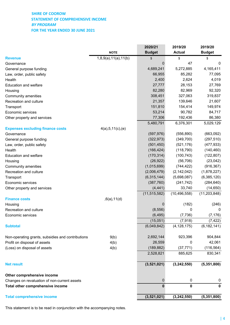# **SHIRE OF COOROW STATEMENT OF COMPREHENSIVE INCOME** *BY PROGRAM*  **FOR THE YEAR ENDED 30 JUNE 2021**

|                                                   |                      | 2020/21        | 2019/20        | 2019/20        |
|---------------------------------------------------|----------------------|----------------|----------------|----------------|
|                                                   | <b>NOTE</b>          | <b>Budget</b>  | <b>Actual</b>  | <b>Budget</b>  |
| <b>Revenue</b>                                    | 1,8,9(a),11(a),11(b) | \$             | \$             | \$             |
| Governance                                        |                      | 0              | 47             | 0              |
| General purpose funding                           |                      | 4,689,241      | 5,272,885      | 4,165,411      |
| Law, order, public safety                         |                      | 66,955         | 85,282         | 77,095         |
| Health                                            |                      | 2,400          | 2,624          | 4,019          |
| <b>Education and welfare</b>                      |                      | 27,777         | 28,153         | 27,769         |
| Housing                                           |                      | 82,280         | 82,969         | 92,320         |
| Community amenities                               |                      | 308,451        | 327,063        | 319,837        |
| Recreation and culture                            |                      | 21,357         | 139,646        | 21,607         |
| Transport                                         |                      | 151,810        | 154,414        | 149,974        |
| Economic services                                 |                      | 53,214         | 90,782         | 84,717         |
| Other property and services                       |                      | 77,306         | 192,436        | 86,380         |
|                                                   |                      | 5,480,791      | 6,376,301      | 5,029,129      |
| <b>Expenses excluding finance costs</b>           | 4(a), 5, 11(c), (e)  |                |                |                |
| Governance                                        |                      | (597, 976)     | (556, 890)     | (663,092)      |
| General purpose funding                           |                      | (322, 973)     | (349, 700)     | (297, 510)     |
| Law, order, public safety                         |                      | (501, 450)     | (521, 176)     | (477, 933)     |
| Health                                            |                      | (166, 424)     | (118, 790)     | (140, 460)     |
| <b>Education and welfare</b>                      |                      | (170, 314)     | (100, 743)     | (122, 807)     |
| Housing                                           |                      | (26, 922)      | (56, 706)      | (23, 042)      |
| Community amenities                               |                      | (1,015,699)    | (744, 422)     | (916, 367)     |
| Recreation and culture                            |                      | (2,006,479)    | (2, 142, 042)  | (1,878,227)    |
| Transport                                         |                      | (6,315,144)    | (5,698,087)    | (6,385,120)    |
| Economic services                                 |                      | (387, 760)     | (241, 742)     | (284, 640)     |
| Other property and services                       |                      | (4, 441)       | 33,740         | (14, 650)      |
|                                                   |                      | (11, 515, 582) | (10, 496, 558) | (11, 203, 848) |
| <b>Finance costs</b>                              | ,6(a),11(d)          |                |                |                |
| Housing                                           |                      | 0              | (182)          | (246)          |
| Recreation and culture                            |                      | (8, 556)       | 0              | 0              |
| Economic services                                 |                      | (6, 495)       | (7, 736)       | (7, 176)       |
|                                                   |                      | (15,051)       | (7,918)        | (7, 422)       |
| <b>Subtotal</b>                                   |                      | (6,049,842)    | (4, 128, 175)  | (6, 182, 141)  |
| Non-operating grants, subsidies and contributions | 9(b)                 | 2,692,144      | 923,396        | 904,844        |
| Profit on disposal of assets                      | 4(b)                 | 26,559         | 0              | 42,061         |
| (Loss) on disposal of assets                      | 4(b)                 | (189, 882)     | (37, 771)      | (116, 564)     |
|                                                   |                      | 2,528,821      | 885,625        | 830,341        |
| <b>Net result</b>                                 |                      | (3,521,021)    | (3, 242, 550)  | (5,351,800)    |
|                                                   |                      |                |                |                |
| Other comprehensive income                        |                      |                |                |                |
| Changes on revaluation of non-current assets      |                      | 0              | 0              | 0              |
| Total other comprehensive income                  |                      | $\bf{0}$       | 0              | 0              |
| <b>Total comprehensive income</b>                 |                      | (3,521,021)    | (3, 242, 550)  | (5, 351, 800)  |
|                                                   |                      |                |                |                |

This statement is to be read in conjunction with the accompanying notes.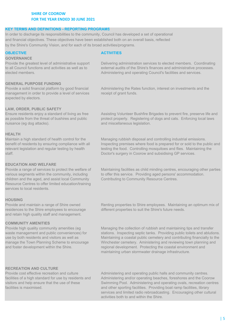# **SHIRE OF COOROW FOR THE YEAR ENDED 30 JUNE 2021**

### **KEY TERMS AND DEFINITIONS - REPORTING PROGRAMS**

In order to discharge its responsibilities to the community, Council has developed a set of operational and financial objectives. These objectives have been established both on an overall basis, reflected by the Shire's Community Vision, and for each of its broad activities/programs.

### **GOVERNANCE**

Provide the greatest level of administrative support to all Council functions and activities as well as to elected members.

# **GENERAL PURPOSE FUNDING**

Provide a solid financial platform by good financial management in order to provide a level of services expected by electors.

# **OBJECTIVE ACTIVITIES**

Delivering administration services to elected members. Coordinating external audits of the Shire's finances and administrative processes. Administering and operating Council's facilities and services.

Administering the Rates function, interest on investments and the receipt of grant funds.

# **LAW, ORDER, PUBLIC SAFETY**

Ensure residents enjoy a standard of living as free as possible from the threat of bushires and public nuisance (eg dog attacks).

# **HEALTH**

Maintain a high standard of health control for the benefit of residents by ensuring compliance with all relevant legislation and regular testing by health staff.

### **EDUCATION AND WELFARE**

Provide a range of services to protect the welfare of various segments within the community, including children and the aged, and assist local Community Resource Centres to offer limited education/training services to local residents.

### **HOUSING**

Provide and maintain a range of Shire owned residences to the Shire employees to encourage and retain high quality staff and management.

### **COMMUNITY AMENITIES**

Provide high quality community amenities (eg waste management and public conveniences) for use by both residents and visitors as well as manage the Town Planning Scheme to encourage and foster development within the Shire.

Assisting Volunteer Bushfire Brigades to prevent fire, preserve life and protect property. Registering of dogs and cats. Enforcing local laws and miscellaneous legislation.

Managing rubbish disposal and controlling industrial emissions. Inspecting premises where food is prepared for or sold to the public and testing the food. Controlling mosquitoes and flies. Maintaining the Doctor's surgery in Coorow and subsidising GP services.

Maintaining facilities as child minding centres, encouraging other parties to offer this service. Providing aged persons' accommodation. Contributing to Community Resource Centres.

Renting properties to Shire employees. Maintaining an optimum mix of different properties to suit the Shire's future needs.

Managing the collection of rubbish and maintaining tips and transfer stations. Inspecting septic tanks. Providing public toilets and ablutions. Maintaining a coastal public cemetery and contributing financially to the Winchester cemetery. Aministering and reviewing town planning and regional development. Protecting the coastal environment and maintaining urban stormwater drainage infrastructure.

### **RECREATION AND CULTURE**

Provide cost effective recreation and culture facilities of a high standard for use by residents and visitors and help ensure that the use of these facilities is maximised.

Administering and operating public halls and community centres. Administering and/or operating beaches, foreshores and the Coorow Swimming Pool. Administering and operating ovals, recreation centres and other sporting facilities. Providing boat ramp facilities, library services and limited radio rebroadcasting. Encouraging other cultural activities both to and within the Shire.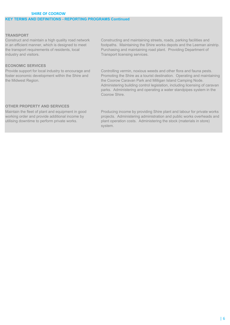# **SHIRE OF COOROW KEY TERMS AND DEFINITIONS - REPORTING PROGRAMS Continued FOR THE YEAR ENDED 30 JUNE 2021**

### **TRANSPORT**

Construct and maintain a high quality road network in an efficient manner, which is designed to meet the transport requirements of residents, local industry and visitors.

# **ECONOMIC SERVICES**

Provide support for local industry to encourage and foster economic development within the Shire and the Midwest Region.

Constructing and maintaining streets, roads, parking facilities and footpaths. Maintaining the Shire works depots and the Leeman airstrip. Purchasing and maintaining road plant. Providing Department of Transport licensing services.

Controlling vermin, noxious weeds and other flora and fauna pests. Promoting the Shire as a tourist destination. Operating and maintaining the Coorow Caravan Park and Milligan Island Camping Node. Administering building control legislation, including licensing of caravan parks. Administering and operating a water standpipes system in the Coorow Shire.

# **OTHER PROPERTY AND SERVICES**

Maintain the fleet of plant and equipment in good working order and provide additional income by utilising downtime to perform private works.

Producing income by providing Shire plant and labour for private works projects. Administering administration and public works overheads and plant operation costs. Administering the stock (materials in store) system.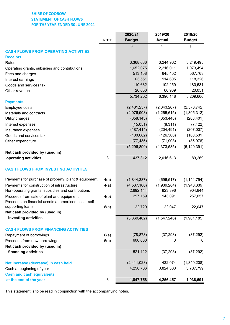# **SHIRE OF COOROW STATEMENT OF CASH FLOWS FOR THE YEAR ENDED 30 JUNE 2021**

| <b>Budget</b><br><b>Budget</b><br><b>Actual</b><br><b>NOTE</b><br>\$<br>\$<br>\$<br><b>Receipts</b><br>3,368,686<br>3,244,962<br>3,249,495<br>Rates<br>1,652,075<br>2,216,011<br>1,073,494<br>Operating grants, subsidies and contributions<br>513,158<br>567,763<br>645,402<br>Fees and charges<br>63,551<br>114,605<br>118,326<br>Interest earnings<br>110,682<br>102,259<br>180,531<br>Goods and services tax<br>26,050<br>66,909<br>20,051<br>Other revenue<br>6,390,148<br>5,209,660<br>5,734,202<br><b>Payments</b><br>(2,481,257)<br>(2,343,267)<br>(2,570,742)<br>Employee costs<br>(2,076,908)<br>(1,265,615)<br>(1,805,312)<br>Materials and contracts<br>Utility charges<br>(358, 143)<br>(353, 448)<br>(263, 401)<br>(15,051)<br>(7, 422)<br>(8,311)<br>Interest expenses<br>(187, 414)<br>(207, 007)<br>(204, 491)<br>Insurance expenses<br>(100, 682)<br>(126, 500)<br>(180, 531)<br>Goods and services tax<br>(77, 435)<br>(71, 903)<br>(85, 976)<br>Other expenditure<br>(5, 120, 391)<br>(4,373,535)<br>(5,296,890)<br>Net cash provided by (used in)<br>$\mathsf 3$<br>437,312<br>89,269<br>operating activities<br>2,016,613<br><b>CASH FLOWS FROM INVESTING ACTIVITIES</b><br>4(a)<br>(1,844,387)<br>(696, 517)<br>(1, 144, 794)<br>(4,537,106)<br>(1,940,339)<br>4(a)<br>(1,939,264)<br>2,692,144<br>923,396<br>904,844<br>297,159<br>143,091<br>257,057<br>4(b)<br>6(a)<br>22,729<br>22,047<br>22,047<br>Net cash provided by (used in)<br>investing activities<br>(1,547,246)<br>(1,901,185)<br>(3,369,462)<br>(37, 293)<br>(37, 292)<br>(78, 878)<br>6(a)<br>600,000<br>0<br>6(b)<br>0<br>Net cash provided by (used in)<br>financing activities<br>521,122<br>(37, 293)<br>(37, 292) |                                                       | 2020/21     | 2019/20 | 2019/20     |
|---------------------------------------------------------------------------------------------------------------------------------------------------------------------------------------------------------------------------------------------------------------------------------------------------------------------------------------------------------------------------------------------------------------------------------------------------------------------------------------------------------------------------------------------------------------------------------------------------------------------------------------------------------------------------------------------------------------------------------------------------------------------------------------------------------------------------------------------------------------------------------------------------------------------------------------------------------------------------------------------------------------------------------------------------------------------------------------------------------------------------------------------------------------------------------------------------------------------------------------------------------------------------------------------------------------------------------------------------------------------------------------------------------------------------------------------------------------------------------------------------------------------------------------------------------------------------------------------------------------------------------------------------------------------------------------------------------------|-------------------------------------------------------|-------------|---------|-------------|
|                                                                                                                                                                                                                                                                                                                                                                                                                                                                                                                                                                                                                                                                                                                                                                                                                                                                                                                                                                                                                                                                                                                                                                                                                                                                                                                                                                                                                                                                                                                                                                                                                                                                                                               |                                                       |             |         |             |
|                                                                                                                                                                                                                                                                                                                                                                                                                                                                                                                                                                                                                                                                                                                                                                                                                                                                                                                                                                                                                                                                                                                                                                                                                                                                                                                                                                                                                                                                                                                                                                                                                                                                                                               |                                                       |             |         |             |
|                                                                                                                                                                                                                                                                                                                                                                                                                                                                                                                                                                                                                                                                                                                                                                                                                                                                                                                                                                                                                                                                                                                                                                                                                                                                                                                                                                                                                                                                                                                                                                                                                                                                                                               | <b>CASH FLOWS FROM OPERATING ACTIVITIES</b>           |             |         |             |
|                                                                                                                                                                                                                                                                                                                                                                                                                                                                                                                                                                                                                                                                                                                                                                                                                                                                                                                                                                                                                                                                                                                                                                                                                                                                                                                                                                                                                                                                                                                                                                                                                                                                                                               |                                                       |             |         |             |
|                                                                                                                                                                                                                                                                                                                                                                                                                                                                                                                                                                                                                                                                                                                                                                                                                                                                                                                                                                                                                                                                                                                                                                                                                                                                                                                                                                                                                                                                                                                                                                                                                                                                                                               |                                                       |             |         |             |
|                                                                                                                                                                                                                                                                                                                                                                                                                                                                                                                                                                                                                                                                                                                                                                                                                                                                                                                                                                                                                                                                                                                                                                                                                                                                                                                                                                                                                                                                                                                                                                                                                                                                                                               |                                                       |             |         |             |
|                                                                                                                                                                                                                                                                                                                                                                                                                                                                                                                                                                                                                                                                                                                                                                                                                                                                                                                                                                                                                                                                                                                                                                                                                                                                                                                                                                                                                                                                                                                                                                                                                                                                                                               |                                                       |             |         |             |
|                                                                                                                                                                                                                                                                                                                                                                                                                                                                                                                                                                                                                                                                                                                                                                                                                                                                                                                                                                                                                                                                                                                                                                                                                                                                                                                                                                                                                                                                                                                                                                                                                                                                                                               |                                                       |             |         |             |
|                                                                                                                                                                                                                                                                                                                                                                                                                                                                                                                                                                                                                                                                                                                                                                                                                                                                                                                                                                                                                                                                                                                                                                                                                                                                                                                                                                                                                                                                                                                                                                                                                                                                                                               |                                                       |             |         |             |
|                                                                                                                                                                                                                                                                                                                                                                                                                                                                                                                                                                                                                                                                                                                                                                                                                                                                                                                                                                                                                                                                                                                                                                                                                                                                                                                                                                                                                                                                                                                                                                                                                                                                                                               |                                                       |             |         |             |
|                                                                                                                                                                                                                                                                                                                                                                                                                                                                                                                                                                                                                                                                                                                                                                                                                                                                                                                                                                                                                                                                                                                                                                                                                                                                                                                                                                                                                                                                                                                                                                                                                                                                                                               |                                                       |             |         |             |
|                                                                                                                                                                                                                                                                                                                                                                                                                                                                                                                                                                                                                                                                                                                                                                                                                                                                                                                                                                                                                                                                                                                                                                                                                                                                                                                                                                                                                                                                                                                                                                                                                                                                                                               |                                                       |             |         |             |
|                                                                                                                                                                                                                                                                                                                                                                                                                                                                                                                                                                                                                                                                                                                                                                                                                                                                                                                                                                                                                                                                                                                                                                                                                                                                                                                                                                                                                                                                                                                                                                                                                                                                                                               |                                                       |             |         |             |
|                                                                                                                                                                                                                                                                                                                                                                                                                                                                                                                                                                                                                                                                                                                                                                                                                                                                                                                                                                                                                                                                                                                                                                                                                                                                                                                                                                                                                                                                                                                                                                                                                                                                                                               |                                                       |             |         |             |
|                                                                                                                                                                                                                                                                                                                                                                                                                                                                                                                                                                                                                                                                                                                                                                                                                                                                                                                                                                                                                                                                                                                                                                                                                                                                                                                                                                                                                                                                                                                                                                                                                                                                                                               |                                                       |             |         |             |
|                                                                                                                                                                                                                                                                                                                                                                                                                                                                                                                                                                                                                                                                                                                                                                                                                                                                                                                                                                                                                                                                                                                                                                                                                                                                                                                                                                                                                                                                                                                                                                                                                                                                                                               |                                                       |             |         |             |
|                                                                                                                                                                                                                                                                                                                                                                                                                                                                                                                                                                                                                                                                                                                                                                                                                                                                                                                                                                                                                                                                                                                                                                                                                                                                                                                                                                                                                                                                                                                                                                                                                                                                                                               |                                                       |             |         |             |
|                                                                                                                                                                                                                                                                                                                                                                                                                                                                                                                                                                                                                                                                                                                                                                                                                                                                                                                                                                                                                                                                                                                                                                                                                                                                                                                                                                                                                                                                                                                                                                                                                                                                                                               |                                                       |             |         |             |
|                                                                                                                                                                                                                                                                                                                                                                                                                                                                                                                                                                                                                                                                                                                                                                                                                                                                                                                                                                                                                                                                                                                                                                                                                                                                                                                                                                                                                                                                                                                                                                                                                                                                                                               |                                                       |             |         |             |
|                                                                                                                                                                                                                                                                                                                                                                                                                                                                                                                                                                                                                                                                                                                                                                                                                                                                                                                                                                                                                                                                                                                                                                                                                                                                                                                                                                                                                                                                                                                                                                                                                                                                                                               |                                                       |             |         |             |
|                                                                                                                                                                                                                                                                                                                                                                                                                                                                                                                                                                                                                                                                                                                                                                                                                                                                                                                                                                                                                                                                                                                                                                                                                                                                                                                                                                                                                                                                                                                                                                                                                                                                                                               |                                                       |             |         |             |
|                                                                                                                                                                                                                                                                                                                                                                                                                                                                                                                                                                                                                                                                                                                                                                                                                                                                                                                                                                                                                                                                                                                                                                                                                                                                                                                                                                                                                                                                                                                                                                                                                                                                                                               |                                                       |             |         |             |
|                                                                                                                                                                                                                                                                                                                                                                                                                                                                                                                                                                                                                                                                                                                                                                                                                                                                                                                                                                                                                                                                                                                                                                                                                                                                                                                                                                                                                                                                                                                                                                                                                                                                                                               |                                                       |             |         |             |
|                                                                                                                                                                                                                                                                                                                                                                                                                                                                                                                                                                                                                                                                                                                                                                                                                                                                                                                                                                                                                                                                                                                                                                                                                                                                                                                                                                                                                                                                                                                                                                                                                                                                                                               | Payments for purchase of property, plant & equipment  |             |         |             |
|                                                                                                                                                                                                                                                                                                                                                                                                                                                                                                                                                                                                                                                                                                                                                                                                                                                                                                                                                                                                                                                                                                                                                                                                                                                                                                                                                                                                                                                                                                                                                                                                                                                                                                               | Payments for construction of infrastructure           |             |         |             |
|                                                                                                                                                                                                                                                                                                                                                                                                                                                                                                                                                                                                                                                                                                                                                                                                                                                                                                                                                                                                                                                                                                                                                                                                                                                                                                                                                                                                                                                                                                                                                                                                                                                                                                               | Non-operating grants, subsidies and contributions     |             |         |             |
|                                                                                                                                                                                                                                                                                                                                                                                                                                                                                                                                                                                                                                                                                                                                                                                                                                                                                                                                                                                                                                                                                                                                                                                                                                                                                                                                                                                                                                                                                                                                                                                                                                                                                                               | Proceeds from sale of plant and equipment             |             |         |             |
|                                                                                                                                                                                                                                                                                                                                                                                                                                                                                                                                                                                                                                                                                                                                                                                                                                                                                                                                                                                                                                                                                                                                                                                                                                                                                                                                                                                                                                                                                                                                                                                                                                                                                                               | Proceeds on financial assets at amortised cost - self |             |         |             |
|                                                                                                                                                                                                                                                                                                                                                                                                                                                                                                                                                                                                                                                                                                                                                                                                                                                                                                                                                                                                                                                                                                                                                                                                                                                                                                                                                                                                                                                                                                                                                                                                                                                                                                               | supporting loans                                      |             |         |             |
|                                                                                                                                                                                                                                                                                                                                                                                                                                                                                                                                                                                                                                                                                                                                                                                                                                                                                                                                                                                                                                                                                                                                                                                                                                                                                                                                                                                                                                                                                                                                                                                                                                                                                                               |                                                       |             |         |             |
|                                                                                                                                                                                                                                                                                                                                                                                                                                                                                                                                                                                                                                                                                                                                                                                                                                                                                                                                                                                                                                                                                                                                                                                                                                                                                                                                                                                                                                                                                                                                                                                                                                                                                                               |                                                       |             |         |             |
|                                                                                                                                                                                                                                                                                                                                                                                                                                                                                                                                                                                                                                                                                                                                                                                                                                                                                                                                                                                                                                                                                                                                                                                                                                                                                                                                                                                                                                                                                                                                                                                                                                                                                                               | <b>CASH FLOWS FROM FINANCING ACTIVITIES</b>           |             |         |             |
|                                                                                                                                                                                                                                                                                                                                                                                                                                                                                                                                                                                                                                                                                                                                                                                                                                                                                                                                                                                                                                                                                                                                                                                                                                                                                                                                                                                                                                                                                                                                                                                                                                                                                                               | Repayment of borrowings                               |             |         |             |
|                                                                                                                                                                                                                                                                                                                                                                                                                                                                                                                                                                                                                                                                                                                                                                                                                                                                                                                                                                                                                                                                                                                                                                                                                                                                                                                                                                                                                                                                                                                                                                                                                                                                                                               | Proceeds from new borrowings                          |             |         |             |
|                                                                                                                                                                                                                                                                                                                                                                                                                                                                                                                                                                                                                                                                                                                                                                                                                                                                                                                                                                                                                                                                                                                                                                                                                                                                                                                                                                                                                                                                                                                                                                                                                                                                                                               |                                                       |             |         |             |
|                                                                                                                                                                                                                                                                                                                                                                                                                                                                                                                                                                                                                                                                                                                                                                                                                                                                                                                                                                                                                                                                                                                                                                                                                                                                                                                                                                                                                                                                                                                                                                                                                                                                                                               |                                                       |             |         |             |
|                                                                                                                                                                                                                                                                                                                                                                                                                                                                                                                                                                                                                                                                                                                                                                                                                                                                                                                                                                                                                                                                                                                                                                                                                                                                                                                                                                                                                                                                                                                                                                                                                                                                                                               | Net increase (decrease) in cash held                  | (2,411,028) | 432,074 | (1,849,208) |
| 4,258,786<br>3,824,383<br>3,787,799                                                                                                                                                                                                                                                                                                                                                                                                                                                                                                                                                                                                                                                                                                                                                                                                                                                                                                                                                                                                                                                                                                                                                                                                                                                                                                                                                                                                                                                                                                                                                                                                                                                                           | Cash at beginning of year                             |             |         |             |
| <b>Cash and cash equivalents</b>                                                                                                                                                                                                                                                                                                                                                                                                                                                                                                                                                                                                                                                                                                                                                                                                                                                                                                                                                                                                                                                                                                                                                                                                                                                                                                                                                                                                                                                                                                                                                                                                                                                                              |                                                       |             |         |             |
| at the end of the year<br>3<br>1,847,758<br>1,938,591<br>4,256,457                                                                                                                                                                                                                                                                                                                                                                                                                                                                                                                                                                                                                                                                                                                                                                                                                                                                                                                                                                                                                                                                                                                                                                                                                                                                                                                                                                                                                                                                                                                                                                                                                                            |                                                       |             |         |             |

This statement is to be read in conjunction with the accompanying notes.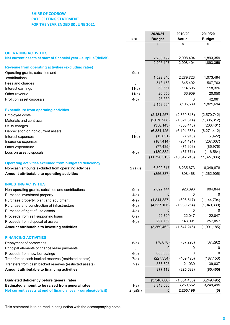# **SHIRE OF COOROW RATE SETTING STATEMENT FOR THE YEAR ENDED 30 JUNE 2021**

|                                                                                                                     | <b>NOTE</b> | 2020/21<br><b>Budget</b>     | 2019/20<br><b>Actual</b>    | 2019/20<br><b>Budget</b>     |
|---------------------------------------------------------------------------------------------------------------------|-------------|------------------------------|-----------------------------|------------------------------|
|                                                                                                                     |             | \$                           | \$                          | \$                           |
| <b>OPERATING ACTIVITIES</b>                                                                                         |             |                              |                             |                              |
| Net current assets at start of financial year - surplus/(deficit)                                                   |             | 2,205,197                    | 2,008,404                   | 1,893,359                    |
|                                                                                                                     |             | 2,205,197                    | 2,008,404                   | 1,893,359                    |
| <b>Revenue from operating activities (excluding rates)</b>                                                          |             |                              |                             |                              |
| Operating grants, subsidies and                                                                                     | 9(a)        | 1,529,346                    | 2,279,723                   | 1,073,494                    |
| contributions                                                                                                       |             | 513,158                      | 645,402                     | 567,763                      |
| Fees and charges                                                                                                    | 8           | 63,551                       | 114,605                     | 118,326                      |
| Interest earnings                                                                                                   | 11(a)       | 26,050                       | 66,909                      | 20,050                       |
| Other revenue                                                                                                       | 11(b)       |                              |                             |                              |
| Profit on asset disposals                                                                                           | 4(b)        | 26,559                       | 0                           | 42,061                       |
|                                                                                                                     |             | 2,158,664                    | 3,106,639                   | 1,821,694                    |
| <b>Expenditure from operating activities</b>                                                                        |             |                              | (2,350,818)                 | (2,570,742)                  |
| Employee costs                                                                                                      |             | (2,481,257)                  |                             |                              |
| Materials and contracts                                                                                             |             | (2,076,908)                  | (1,321,314)                 | (1,805,312)                  |
| Utility charges                                                                                                     |             | (358, 143)                   | (353, 448)                  | (263, 401)                   |
| Depreciation on non-current assets                                                                                  | 5           | (6, 334, 425)                | (6, 194, 585)               | (6,271,412)                  |
| Interest expenses                                                                                                   | 11(d)       | (15,051)                     | (7, 918)                    | (7, 422)                     |
| Insurance expenses                                                                                                  |             | (187, 414)                   | (204, 491)                  | (207, 007)                   |
| Other expenditure                                                                                                   |             | (77, 435)                    | (71, 903)                   | (85, 976)                    |
| Loss on asset disposals                                                                                             | 4(b)        | (189, 882)<br>(11, 720, 515) | (37, 771)<br>(10, 542, 248) | (116, 564)<br>(11, 327, 836) |
| <b>Operating activities excluded from budgeted deficiency</b>                                                       |             |                              |                             |                              |
| Non-cash amounts excluded from operating activities                                                                 | 2(a)(i)     | 6,500,317                    | 6,235,673                   | 6,349,878                    |
| Amount attributable to operating activities                                                                         |             | (856, 337)                   | 808,468                     | (1,262,905)                  |
|                                                                                                                     |             |                              |                             |                              |
| <b>INVESTING ACTIVITIES</b>                                                                                         |             |                              |                             |                              |
| Non-operating grants, subsidies and contributions                                                                   | 9(b)        | 2,692,144                    | 923,396                     | 904,844                      |
| Purchase investment property                                                                                        | 4(a)        | 0                            | 0                           | 0                            |
| Purchase property, plant and equipment                                                                              | 4(a)        | (1,844,387)                  | (696, 517)                  | (1, 144, 794)                |
| Purchase and construction of infrastructure                                                                         | 4(a)        | (4,537,106)                  | (1,939,264)                 | (1,940,339)                  |
| Purchase of right of use assets                                                                                     | 4(a)        | 0                            | 0                           |                              |
| Proceeds from self supporting loans                                                                                 | 6(a)        | 22,729                       | 22,047                      | 22,047                       |
| Proceeds from disposal of assets                                                                                    | 4(b)        | 297,159                      | 143,091                     | 257,057                      |
| Amount attributable to investing activities                                                                         |             | (3,369,462)                  | (1,547,246)                 | (1,901,185)                  |
| <b>FINANCING ACTIVITIES</b>                                                                                         |             |                              |                             |                              |
| Repayment of borrowings                                                                                             | 6(a)        | (78, 878)                    | (37, 293)                   | (37, 292)                    |
| Principal elements of finance lease payments                                                                        | 6           |                              | 0                           |                              |
| Proceeds from new borrowings                                                                                        | 6(b)        | 600,000                      | 0                           | 0                            |
| Transfers to cash backed reserves (restricted assets)                                                               | 7(a)        | (227, 334)                   | (409, 425)                  | (187, 150)                   |
| Transfers from cash backed reserves (restricted assets)                                                             | 7(a)        | 583,325                      | 121,030                     | 139,037                      |
| Amount attributable to financing activities                                                                         |             | 877,113                      | (325, 688)                  | (85, 405)                    |
|                                                                                                                     |             |                              |                             |                              |
| <b>Budgeted deficiency before general rates</b>                                                                     |             | (3,348,686)                  | (1,064,466)<br>3,269,662    | (3, 249, 495)<br>3,249,495   |
| Estimated amount to be raised from general rates<br>Net current assets at end of financial year - surplus/(deficit) | 1(a)        | 3,348,686                    |                             |                              |
|                                                                                                                     | 2(a)(iii)   | 0                            | 2,205,196                   | (0)                          |

This statement is to be read in conjunction with the accompanying notes.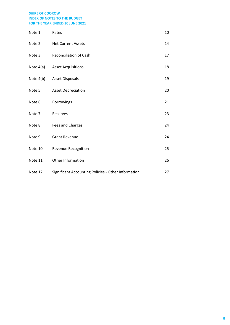| Note 1  | Rates                                               | 10 |
|---------|-----------------------------------------------------|----|
| Note 2  | <b>Net Current Assets</b>                           | 14 |
| Note 3  | <b>Reconciliation of Cash</b>                       | 17 |
|         | Note 4(a) Asset Acquisitions                        | 18 |
|         | Note 4(b) Asset Disposals                           | 19 |
| Note 5  | <b>Asset Depreciation</b>                           | 20 |
| Note 6  | Borrowings                                          | 21 |
| Note 7  | Reserves                                            | 23 |
| Note 8  | Fees and Charges                                    | 24 |
| Note 9  | <b>Grant Revenue</b>                                | 24 |
| Note 10 | Revenue Recognition                                 | 25 |
| Note 11 | Other Information                                   | 26 |
| Note 12 | Significant Accounting Policies - Other Information | 27 |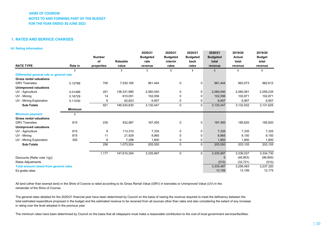#### **1. RATES AND SERVICE CHARGES**

#### **(a) Rating Information**

| <b>RATE TYPE</b>                              | Rate in        | <b>Number</b><br>of<br>properties | Rateable<br>value | 2020/21<br><b>Budgeted</b><br>rate<br>revenue | 2020/21<br><b>Budgeted</b><br>interim<br>rates | 2020/21<br><b>Budgeted</b><br>back<br>rates | 2020/21<br><b>Budgeted</b><br>total<br>revenue | 2019/20<br><b>Actual</b><br>total<br>revenue | 2019/20<br><b>Budget</b><br>total<br>revenue |
|-----------------------------------------------|----------------|-----------------------------------|-------------------|-----------------------------------------------|------------------------------------------------|---------------------------------------------|------------------------------------------------|----------------------------------------------|----------------------------------------------|
|                                               | \$             |                                   | \$                | \$                                            | \$                                             | \$                                          | \$                                             | \$                                           | \$                                           |
| Differential general rate or general rate     |                |                                   |                   |                                               |                                                |                                             |                                                |                                              |                                              |
| <b>Gross rental valuations</b>                |                |                                   |                   |                                               |                                                |                                             |                                                |                                              |                                              |
| <b>GRV Townsites</b>                          | 0.12768        | 700                               | 7,530,165         | 961,444                                       | 0                                              | 0                                           | 961,444                                        | 963,073                                      | 962,612                                      |
| <b>Unimproved valuations</b>                  |                |                                   |                   |                                               |                                                |                                             |                                                |                                              |                                              |
| UV - Agriculture                              | 0.01489        | 201                               | 138,331,990       | 2,060,040                                     | 0                                              | 0                                           | 2,060,040                                      | 2,060,081                                    | 2,059,235                                    |
| UV - Mining                                   | 0.16729        | 14                                | 610.051           | 102,056                                       | 0                                              | 0                                           | 102,056                                        | 102,871                                      | 102,871                                      |
| UV - Mining Exploration                       | 0.11030        | 6                                 | 62,623            | 6,907                                         | 0                                              | 0                                           | 6,907                                          | 6,907                                        | 6,907                                        |
| <b>Sub-Totals</b>                             |                | 921                               | 146,534,830       | 3,130,447                                     | $\mathbf 0$                                    | $\mathbf 0$                                 | 3,130,447                                      | 3,132,932                                    | 3,131,625                                    |
|                                               | <b>Minimum</b> |                                   |                   |                                               |                                                |                                             |                                                |                                              |                                              |
| <b>Minimum payment</b>                        | \$             |                                   |                   |                                               |                                                |                                             |                                                |                                              |                                              |
| <b>Gross rental valuations</b>                |                |                                   |                   |                                               |                                                |                                             |                                                |                                              |                                              |
| <b>GRV Townsites</b>                          | 815            | 230                               | 932,987           | 187,450                                       | 0                                              | 0                                           | 187,450                                        | 185,820                                      | 185,820                                      |
| <b>Unimproved valuations</b>                  |                |                                   |                   |                                               |                                                |                                             |                                                |                                              |                                              |
| UV - Agriculture                              | 815            | 9                                 | 113,310           | 7,335                                         | 0                                              | $\mathbf 0$                                 | 7,335                                          | 7,335                                        | 7,335                                        |
| UV - Mining                                   | 815            | 11                                | 21,929            | 8,965                                         | 0                                              | 0                                           | 8,965                                          | 8,150                                        | 8,150                                        |
| UV - Mining Exploration                       | 300            | 6                                 | 7,298             | 1,800                                         | 0                                              | 0                                           | 1,800                                          | 1,800                                        | 1,800                                        |
| <b>Sub-Totals</b>                             |                | 256                               | 1,075,524         | 205,550                                       | $\mathbf 0$                                    | $\mathbf 0$                                 | 205,550                                        | 203,105                                      | 203,105                                      |
|                                               |                | 1,177                             | 147,610,354       | 3,335,997                                     | $\mathbf 0$                                    | $\mathbf 0$                                 | 3,335,997                                      | 3,336,037                                    | 3,334,730                                    |
| Discounts (Refer note 1(g))                   |                |                                   |                   |                                               |                                                |                                             | $\Omega$                                       | (46, 853)                                    | (96,900)                                     |
| Rates Adjustments                             |                |                                   |                   |                                               |                                                |                                             | (510)                                          | (32, 721)                                    | (510)                                        |
| <b>Total amount raised from general rates</b> |                |                                   |                   |                                               |                                                |                                             | 3,335,487                                      | 3,256,463                                    | 3,237,320                                    |
| Ex-gratia rates                               |                |                                   |                   |                                               |                                                |                                             | 13,199                                         | 13,199                                       | 12,175                                       |

All land (other than exempt land) in the Shire of Coorow is rated according to its Gross Rental Value (GRV) in townsites or Unimproved Value (UV) in the remainder of the Shire of Coorow.

The general rates detailed for the 2020/21 financial year have been determined by Council on the basis of raising the revenue required to meet the deficiency between the total estimated expenditure proposed in the budget and the estimated revenue to be received from all sources other than rates and also considering the extent of any increase in rating over the level adopted in the previous year.

The minimum rates have been determined by Council on the basis that all ratepayers must make a reasonable contribution to the cost of local government services/facilities.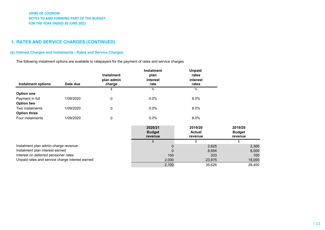# **1. RATES AND SERVICE CHARGES (CONTINUED)**

# **(b) Interest Charges and Instalments - Rates and Service Charges**

The following instalment options are available to ratepayers for the payment of rates and service charges

| <b>Instalment options</b>                       | Date due  | <b>Instalment</b><br>plan admin<br>charge | <b>Instalment</b><br>plan<br>interest<br>rate | <b>Unpaid</b><br>rates<br>interest<br>rates |                                     |
|-------------------------------------------------|-----------|-------------------------------------------|-----------------------------------------------|---------------------------------------------|-------------------------------------|
|                                                 |           | \$                                        | %                                             | $\%$                                        |                                     |
| <b>Option one</b>                               |           |                                           |                                               |                                             |                                     |
| Payment in full                                 | 1/09/2020 | 0                                         | $0.0\%$                                       | $8.0\%$                                     |                                     |
| Option two                                      |           |                                           |                                               |                                             |                                     |
| Two instalments                                 | 1/09/2020 | 0                                         | $0.0\%$                                       | $8.0\%$                                     |                                     |
| <b>Option three</b>                             |           |                                           |                                               |                                             |                                     |
| Four instalments                                | 1/09/2020 | 0                                         | $0.0\%$                                       | $8.0\%$                                     |                                     |
|                                                 |           |                                           | 2020/21<br><b>Budget</b><br>revenue           | 2019/20<br><b>Actual</b><br>revenue         | 2019/20<br><b>Budget</b><br>revenue |
|                                                 |           |                                           |                                               | \$                                          | \$                                  |
| Instalment plan admin charge revenue            |           |                                           |                                               | 2,625<br>$\mathbf{0}$                       | 2,300                               |
| Instalment plan interest earned                 |           |                                           | $\Omega$                                      | 8,694                                       | 8,000                               |
| Interest on deferred pensioner rates            |           |                                           | 100                                           | 333                                         | 100                                 |
| Unpaid rates and service charge interest earned |           |                                           | 2,000                                         | 23,975                                      | 18,000                              |
|                                                 |           |                                           | 2,100                                         | 35,626                                      | 28,400                              |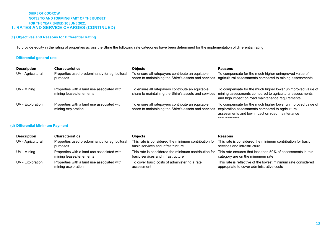### **SHIRE OF COOROW NOTES TO AND FORMING PART OF THE BUDGET FOR THE YEAR ENDED 30 JUNE 2021 1. RATES AND SERVICE CHARGES (CONTINUED)**

### **(c) Objectives and Reasons for Differential Rating**

To provide equity in the rating of properties across the Shire the following rate categories have been determined for the implementation of differential rating.

### **Differential general rate**

| <b>Description</b> | <b>Characteristics</b>                                                | <b>Objects</b>                                                                                           | <b>Reasons</b>                                                                                                                                                             |
|--------------------|-----------------------------------------------------------------------|----------------------------------------------------------------------------------------------------------|----------------------------------------------------------------------------------------------------------------------------------------------------------------------------|
| UV - Agricultural  | Properties used predominantly for agricultural<br>purposes            | To ensure all ratepayers contribute an equitable<br>share to maintaining the Shire's assets and services | To compensate for the much higher unimproved value of<br>agricultural assessments compared to mining assessments                                                           |
| UV - Mining        | Properties with a land use associated with<br>mining leases/tenements | To ensure all ratepayers contribute an equitable<br>share to maintaining the Shire's assets and services | To compensate for the much higher lower unimproved value of<br>mining assessments compared to agricultural assessments<br>and high impact on road maintenance requirements |
| UV - Exploration   | Properties with a land use associated with<br>mining exploration      | To ensure all ratepayers contribute an equitable<br>share to maintaining the Shire's assets and services | To compensate for the much higher lower unimproved value of<br>exploration assessments compared to agricultural<br>assessments and low impact on road maintenance          |

### **(d) Differential Minimum Payment**

| <b>Description</b> | <b>Characteristics</b>                         | <b>Objects</b>                                       | <b>Reasons</b>                                                |
|--------------------|------------------------------------------------|------------------------------------------------------|---------------------------------------------------------------|
| UV - Agricultural  | Properties used predominantly for agricultural | This rate is considered the minimum contribution for | This rate is considered the minimum contribution for basic    |
|                    | purposes                                       | basic services and infrastructure                    | services and infrastructure                                   |
| UV - Mining        | Properties with a land use associated with     | This rate is considered the minimum contribution for | This rate ensures that less than 50% of assessments in this   |
|                    | mining leases/tenements                        | basic services and infrastructure                    | category are on the minumum rate                              |
| UV - Exploration   | Properties with a land use associated with     | To cover basic costs of administering a rate         | This rate is reflective of the lowest minimum rate considered |
|                    | mining exploration                             | assessment                                           | appropriate to cover administrative costs                     |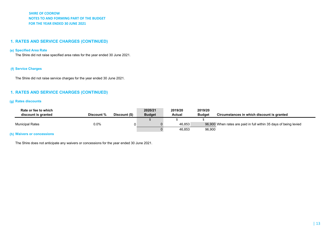### **1. RATES AND SERVICE CHARGES (CONTINUED)**

#### **(e) Specified Area Rate**

The Shire did not raise specified area rates for the year ended 30 June 2021.

### **(f) Service Charges**

The Shire did not raise service charges for the year ended 30 June 2021.

### **1. RATES AND SERVICE CHARGES (CONTINUED)**

#### **(g) Rates discounts**

| Rate or fee to which<br>discount is granted | Discount % | Discount (\$) | 2020/21<br><b>Budget</b> | 2019/20<br><b>Actual</b> | 2019/20<br><b>Budget</b> | Circumstances in which discount is granted                        |
|---------------------------------------------|------------|---------------|--------------------------|--------------------------|--------------------------|-------------------------------------------------------------------|
|                                             |            |               |                          |                          |                          |                                                                   |
| <b>Municipal Rates</b>                      | $0.0\%$    |               |                          | 46,853                   |                          | 96,900 When rates are paid in full within 35 days of being levied |
|                                             |            |               |                          | 46.853                   | 96,900                   |                                                                   |

#### **(h) Waivers or concessions**

The Shire does not anticipate any waivers or concessions for the year ended 30 June 2021.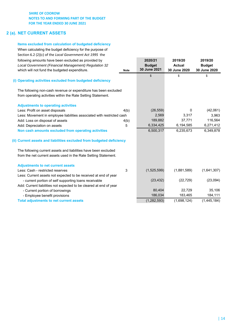# **2 (a). NET CURRENT ASSETS**

# **Items excluded from calculation of budgeted deficiency**

When calculating the budget deficiency for the purpose of Section 6.2 (2)(c) of the *Local Government Act 1995* the following amounts have been excluded as provided by **2020/21 2019/20 2019/20**

| Local Government (Financial Management) Regulation 32<br>which will not fund the budgeted expenditure. | <b>Note</b> | <b>Budget</b><br>30 June 2021 | <b>Actual</b><br>30 June 2020 | <b>Budget</b><br>30 June 2020 |
|--------------------------------------------------------------------------------------------------------|-------------|-------------------------------|-------------------------------|-------------------------------|
|                                                                                                        |             | \$                            | \$                            | \$                            |
| (i) Operating activities excluded from budgeted deficiency                                             |             |                               |                               |                               |
| The following non-cash revenue or expenditure has been excluded                                        |             |                               |                               |                               |
| from operating activities within the Rate Setting Statement.                                           |             |                               |                               |                               |
| <b>Adjustments to operating activities</b>                                                             |             |                               |                               |                               |
| Less: Profit on asset disposals                                                                        | 4(b)        | (26, 559)                     | 0                             | (42,061)                      |
| Less: Movement in employee liabilities associated with restricted cash                                 |             | 2,569                         | 3,317                         | 3,963                         |
| Add: Loss on disposal of assets                                                                        | 4(b)        | 189,882                       | 37,771                        | 116,564                       |
| Add: Depreciation on assets                                                                            | 5           | 6,334,425                     | 6,194,585                     | 6,271,412                     |
| Non cash amounts excluded from operating activities                                                    |             | 6,500,317                     | 6,235,673                     | 6,349,878                     |
| (ii) Current assets and liabilities excluded from budgeted deficiency                                  |             |                               |                               |                               |
| The following current assets and liabilities have been excluded                                        |             |                               |                               |                               |
| from the net current assets used in the Rate Setting Statement.                                        |             |                               |                               |                               |
| <b>Adjustments to net current assets</b>                                                               |             |                               |                               |                               |
| Less: Cash - restricted reserves                                                                       | 3           | (1,525,599)                   | (1,881,589)                   | (1,641,307)                   |
| Less: Current assets not expected to be received at end of year                                        |             |                               |                               |                               |
| - current portion of self supporting loans receivable                                                  |             | (23, 432)                     | (22, 729)                     | (23,094)                      |
| Add: Current liabilities not expected to be cleared at end of year                                     |             |                               |                               |                               |
| - Current portion of borrowings                                                                        |             | 80,404                        | 22,729                        | 35,106                        |
| - Employee benefit provisions                                                                          |             | 186,034                       | 183,465                       | 184,111                       |
| <b>Total adjustments to net current assets</b>                                                         |             | (1, 282, 593)                 | (1.698.124)                   | (1,445,184)                   |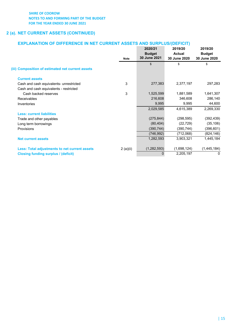# **2 (a). NET CURRENT ASSETS (CONTINUED)**

# **EXPLANATION OF DIFFERENCE IN NET CURRENT ASSETS AND SURPLUS/(DEFICIT)**

|                                                      | <b>Note</b> | 2020/21<br><b>Budget</b><br>30 June 2021 | 2019/20<br><b>Actual</b><br>30 June 2020 | 2019/20<br><b>Budget</b><br>30 June 2020 |
|------------------------------------------------------|-------------|------------------------------------------|------------------------------------------|------------------------------------------|
| (iii) Composition of estimated net current assets    |             | $\sqrt[6]{\frac{1}{2}}$                  | \$                                       | \$                                       |
|                                                      |             |                                          |                                          |                                          |
| <b>Current assets</b>                                |             |                                          |                                          |                                          |
| Cash and cash equivalents- unrestricted              | 3           | 277,383                                  | 2,377,197                                | 297,283                                  |
| Cash and cash equivalents - restricted               |             |                                          |                                          |                                          |
| Cash backed reserves                                 | 3           | 1,525,599                                | 1,881,589                                | 1,641,307                                |
| <b>Receivables</b>                                   |             | 216,608                                  | 346,608                                  | 286,140                                  |
| Inventories                                          |             | 9,995                                    | 9,995                                    | 44,600                                   |
|                                                      |             | 2,029,585                                | 4,615,389                                | 2,269,330                                |
| <b>Less: current liabilities</b>                     |             |                                          |                                          |                                          |
| Trade and other payables                             |             | (275, 844)                               | (298, 595)                               | (392, 439)                               |
| Long term borrowings                                 |             | (80, 404)                                | (22, 729)                                | (35, 106)                                |
| <b>Provisions</b>                                    |             | (390, 744)                               | (390,744)                                | (396, 601)                               |
|                                                      |             | (746, 992)                               | (712,068)                                | (824, 146)                               |
| <b>Net current assets</b>                            |             | 1,282,593                                | 3,903,321                                | 1,445,184                                |
| <b>Less: Total adjustments to net current assets</b> | 2(a)(ii)    | (1, 282, 593)                            | (1,698,124)                              | (1,445,184)                              |
| <b>Closing funding surplus / (deficit)</b>           |             | 0                                        | 2,205,197                                | 0                                        |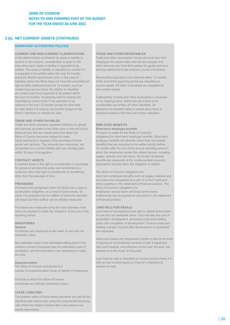### **2 (b). NET CURRENT ASSETS (CONTINUED)**

#### **SIGNIFICANT ACCOUNTING POLICIES**

#### **CURRENT AND NON-CURRENT CLASSIFICATION TRADE AND OTHER RECEIVABLES**

current or non-current, consideration is given to the ratepayers for unpaid rates and service charges and time when each asset or liability is expected to be other amounts due from third parties for goods sold and settled. The asset or liability is classified as current if it services performed in the ordinary course of business. is expected to be settled within the next 12 months, being the Shire's operational cycle. In the case of Receivables expected to be collected within 12 months liabilities where the Shire does not have the unconditional of the end of the reporting period are classified as right to defer settlement beyond 12 months, such as current assets. All other receivables are classified as vested long service leave, the liability is classified non-current assets. as current even if not expected to be settled within the next 12 months. Inventories held for trading are Collectability of trade and other receivables is reviewed classified as current even if not expected to be on an ongoing basis. Debts that are known to be realised in the next 12 months except for land held uncollectible are written off when identified. An for sale where it is held as non-current based on the allowance for doubtful debts is raised when there is Shire's intentions to release for sale.  $\blacksquare$  objective evidence that they will not be collectible.

#### **TRADE AND OTHER PAYABLES**

Trade and other payables represent liabilities for goods **EMPLOYEE BENEFITS** and services provided to the Shire prior to the end of the **Short-term employee benefits**  financial year that are unpaid and arise when the Provision is made for the Shire of Coorow's Shire of Coorow becomes obliged to make obligations for short-term employee benefits. Short term future payments in respect of the purchase of these employee benefits are benefits (other than termination goods and services. The amounts are unsecured, are benefits) that are expected to be settled wholly before

A contract asset is the right to consideration in exchange expected to be paid when the obligation is settled. for goods or services the entity has transferred to a customer when that right is conditioned on something The Shire of Coorow's obligations for

Provisions are recognised when the Shire has a legal or Shire of Coorow's obligations for constructive obligation, as a result of past events, for employees' annual leave and long service leave will result and that outflow can be reliably measured. The of financial position.

Provisions are measured using the best estimate of the **LAND HELD FOR RESALE** amounts required to settle the obligation at the end of the Land held for development and sale is valued at the lower reporting period. of cost and net realisable value. Cost includes the cost of

Inventories are measured at the lower of cost and net are expensed. realisable value.

completion and the estimated costs necessary to make the sale.

The Shire of Coorow contributes to a release for sale. number of superannuation funds on behalf of employees.

All funds to which the Shire of Coorow contributes are defined contribution plans.

#### **LEASE LIABILITIES**

The present value of future lease payments not paid at the reporting date discounted using the incremental borrowing rate where the implicit interest rate in the lease is not readily determined.

In the determination of whether an asset or liability is Trade and other receivables include amounts due from

recognised as a current liability and are normally paid 12 months after the end of the annual reporting period in within 30 days of recognition. Which the employees render the related service, including wages, salaries and sick leave. Short-term employee **CONTRACT ASSETS** benefits are measured at the (undiscounted) amounts

other than the passage of time. short-term employee benefits such as wages, salaries and sick leave are recognised as a part of current trade and **PROVISIONS order that the statement of financial position.** The which it is probable that an outflow of economic benefits entitlements are recognised as provisions in the statement

acquisition, development, borrowing costs and holding **INVENTORIES COSTS INVENTORIES** costs until completion of development. Finance costs and **General General holding charges incurred after development is completed** 

Gains and losses are recognised in profit or loss at the time Net realisable value is the estimated selling price in the of signing an unconditional contract of sale if significant ordinary course of business less the estimated costs of risks and rewards, and effective control over the land, are completion and the estimated costs necessary to make passed on to the buyer at this point.

Land held for sale is classified as current except where it is **Superannuation Superannuation held as non-current based on Council's intentions to**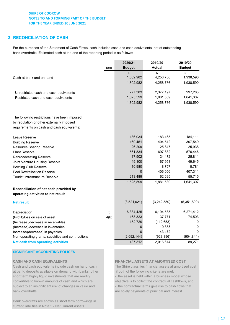# **3. RECONCILIATION OF CASH**

For the purposes of the Statement of Cash Flows, cash includes cash and cash equivalents, net of outstanding bank overdrafts. Estimated cash at the end of the reporting period is as follows:

|                                                   |             | 2020/21        | 2019/20       | 2019/20       |
|---------------------------------------------------|-------------|----------------|---------------|---------------|
|                                                   | <b>Note</b> | <b>Budget</b>  | <b>Actual</b> | <b>Budget</b> |
|                                                   |             | $\mathbb{S}$   | \$            | \$            |
| Cash at bank and on hand                          |             | 1,802,982      | 4,258,786     | 1,938,590     |
|                                                   |             | 1,802,982      | 4,258,786     | 1,938,590     |
| - Unrestricted cash and cash equivalents          |             | 277,383        | 2,377,197     | 297,283       |
| - Restricted cash and cash equivalents            |             | 1,525,599      | 1,881,589     | 1,641,307     |
|                                                   |             | 1,802,982      | 4,258,786     | 1,938,590     |
| The following restrictions have been imposed      |             |                |               |               |
| by regulation or other externally imposed         |             |                |               |               |
| requirements on cash and cash equivalents:        |             |                |               |               |
| Leave Reserve                                     |             | 186,034        | 183,465       | 184,111       |
| <b>Building Reserve</b>                           |             | 460,451        | 404,512       | 307,549       |
| <b>Resource Sharing Reserve</b>                   |             | 26,209         | 25,847        | 25,938        |
| <b>Plant Reserve</b>                              |             | 561,834        | 697,832       | 576,446       |
| Rebroadcasting Reserve                            |             | 17,502         | 24,472        | 25,811        |
| Joint Venture Housing Reserve                     |             | 49,100         | 67,953        | 49,645        |
| <b>Bowling Club Reserve</b>                       |             | 10,980         | 8,757         | 8,781         |
| Pool Revitalisation Reserve                       |             | $\mathbf 0$    | 406,056       | 407,311       |
| Tourist Infrastructure Reserve                    |             | 213,489        | 62,695        | 55,715        |
|                                                   |             | 1,525,599      | 1,881,589     | 1,641,307     |
| Reconciliation of net cash provided by            |             |                |               |               |
| operating activities to net result                |             |                |               |               |
| <b>Net result</b>                                 |             | (3,521,021)    | (3,242,550)   | (5,351,800)   |
| Depreciation                                      | 5           | 6,334,425      | 6,194,585     | 6,271,412     |
| (Profit)/loss on sale of asset                    | 4(b)        | 163,323        | 37,771        | 74,503        |
| (Increase)/decrease in receivables                |             | 152,729        | (112, 653)    | 0             |
| (Increase)/decrease in inventories                |             | $\overline{0}$ | 19,385        | 0             |
| Increase/(decrease) in payables                   |             | $\Omega$       | 43,472        | $\Omega$      |
| Non-operating grants, subsidies and contributions |             | (2,692,144)    | (923, 396)    | (904, 844)    |
| <b>Net cash from operating activities</b>         |             | 437,312        | 2,016,614     | 89,271        |

# **SIGNIFICANT ACCOUNTING POLICES**

Cash and cash equivalents include cash on hand, cash The Shire classifies financial assets at amortised cost at bank, deposits available on demand with banks, other if both of the following criteria are met: short term highly liquid investments that are readily  $\qquad -$  the asset is held within a business model whose convertible to known amounts of cash and which are objective is to collect the contractual cashflows, and subject to an insignificant risk of changes in value and - the contractual terms give rise to cash flows that bank overdrafts. are solely payments of principal and interest.

Bank overdrafts are shown as short term borrowings in current liabilities in Note 2 - Net Current Assets.

### **CASH AND CASH EQUIVALENTS FINANCIAL ASSETS AT AMORTISED COST**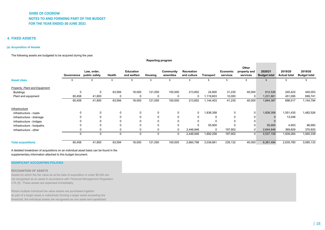#### **4. FIXED ASSETS**

#### **(a) Acquisition of Assets**

The following assets are budgeted to be acquired during the year.

**Governance public safety Health Law, order, Education and welfare Housing Community amenitiesRecreation and culture Transport Economic servicesOther property and services2020/21 Budget total 2019/20 Actual total2019/20 Budget total Asset class** \$ \$ \$ \$ \$ \$ \$ \$\$ \$ \$ \$ \$ *Property, Plant and Equipment* Buildings 0 0 63,594 18,000 121,050 100,000 213,852 24,800 31,230 40,000 612,526 245,422 445,053 Plant and equipment 60,458 41,800 0 0 0 0 0 1,119,603 10,000 0 1,231,861 451,095 699,741 60,458 41,800 63,594 18,000 121,050 100,000 213,852 1,144,403 41,230 40,000 1,844,387 696,517 1,144,794 *Infrastructure* Infrastructure - roads0 0 0 0 0 0 0 0 0 0 0 0 0 1,836,358 0 0 1,836,358 1,551,435 1,482,526 Infrastructure - drainage <sup>0</sup> <sup>0</sup> <sup>0</sup> <sup>00</sup> <sup>0</sup> <sup>00</sup> <sup>0</sup> <sup>0</sup> <sup>0</sup> 13,046 Infrastructure - bridges <sup>0</sup> <sup>0</sup> <sup>0</sup> <sup>00</sup> <sup>0</sup> <sup>00</sup> <sup>0</sup> <sup>0</sup> <sup>0</sup> Infrastructure - footpaths <sup>0</sup> <sup>0</sup> <sup>0</sup> <sup>00</sup> <sup>0</sup> <sup>0</sup> 55,900 <sup>0</sup> <sup>0</sup> 55,900 4,953 86,993 Infrastructure - other 0 0 0 00 0 2,446,946 0 197,902 0 2,644,848 369,829 370,820 0 0 0 00 0 2,446,946 1,892,258 197,902 0 4,537,106 1,939,264 1,940,339 **Total acquisitions** 60,458 41,800 63,594 18,000 121,050 100,000 2,660,798 3,036,661 239,132 40,000 6,381,494 2,635,780 3,085,133

**Reporting program**

A detailed breakdown of acquisitions on an individual asset basis can be found in the supplementary information attached to this budget document.

#### **SIGNIFICANT ACCOUNTING POLICIES**

#### **RECOGNITION OF ASSETS**

Assets for which the fair value as at the date of acquisition is under \$5,000 are not recognised as an asset in accordance with *Financial Management Regulation 17A (5)*. These assets are expensed immediately.

Where multiple individual low value assets are purchased together as part of a larger asset or collectively forming a larger asset exceeding the threshold, the individual assets are recognised as one asset and capitalised.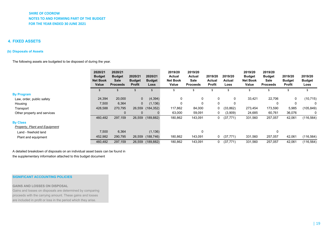### **4. FIXED ASSETS**

#### **(b) Disposals of Assets**

The following assets are budgeted to be disposed of during the year.

|                               | 2020/21<br><b>Budget</b><br><b>Net Book</b><br>Value | 2020/21<br><b>Budget</b><br><b>Sale</b><br><b>Proceeds</b> | 2020/21<br><b>Budget</b><br><b>Profit</b> | 2020/21<br><b>Budget</b><br>Loss | 2019/20<br><b>Actual</b><br><b>Net Book</b><br>Value | 2019/20<br>Actual<br>Sale<br><b>Proceeds</b> | 2019/20<br><b>Actual</b><br><b>Profit</b> | 2019/20<br><b>Actual</b><br>Loss | 2019/20<br><b>Budget</b><br><b>Net Book</b><br>Value | 2019/20<br><b>Budget</b><br>Sale<br><b>Proceeds</b> | 2019/20<br><b>Budget</b><br>Profit | 2019/20<br><b>Budget</b><br>Loss |
|-------------------------------|------------------------------------------------------|------------------------------------------------------------|-------------------------------------------|----------------------------------|------------------------------------------------------|----------------------------------------------|-------------------------------------------|----------------------------------|------------------------------------------------------|-----------------------------------------------------|------------------------------------|----------------------------------|
|                               | \$                                                   |                                                            | \$                                        | \$.                              | \$                                                   | \$                                           |                                           | S                                | \$                                                   | \$                                                  | \$                                 |                                  |
| <b>By Program</b>             |                                                      |                                                            |                                           |                                  |                                                      |                                              |                                           |                                  |                                                      |                                                     |                                    |                                  |
| Law, order, public safety     | 24,394                                               | 20,000                                                     | $\mathbf 0$                               | (4, 394)                         | 0                                                    | 0                                            | 0                                         | 0                                | 33,421                                               | 22,706                                              | 0                                  | (10, 715)                        |
| Housing                       | 7,500                                                | 6,364                                                      | $\mathbf{0}$                              | (1, 136)                         | 0                                                    | 0                                            | $\Omega$                                  | 0                                |                                                      | 0                                                   | 0                                  |                                  |
| Transport                     | 428,588                                              | 270,795                                                    | 26,559                                    | (184, 352)                       | 117,862                                              | 84,000                                       | 0                                         | (33, 862)                        | 273,454                                              | 173,590                                             | 5,985                              | (105, 849)                       |
| Other property and services   |                                                      | 0                                                          | 0                                         |                                  | 63,000                                               | 59,091                                       | 0                                         | (3,909)                          | 24,685                                               | 60,761                                              | 36,076                             |                                  |
|                               | 460,482                                              | 297,159                                                    | 26,559                                    | (189, 882)                       | 180,862                                              | 143,091                                      | 0                                         | (37, 771)                        | 331,560                                              | 257,057                                             | 42,061                             | (116, 564)                       |
| <b>By Class</b>               |                                                      |                                                            |                                           |                                  |                                                      |                                              |                                           |                                  |                                                      |                                                     |                                    |                                  |
| Property, Plant and Equipment |                                                      |                                                            |                                           |                                  |                                                      |                                              |                                           |                                  |                                                      |                                                     |                                    |                                  |
| Land - freehold land          | 7,500                                                | 6,364                                                      |                                           | (1, 136)                         |                                                      | 0                                            |                                           |                                  |                                                      | 0                                                   |                                    |                                  |
| Plant and equipment           | 452,982                                              | 290,795                                                    | 26,559                                    | (188, 746)                       | 180,862                                              | 143,091                                      | 0                                         | (37, 771)                        | 331,560                                              | 257,057                                             | 42,061                             | (116, 564)                       |
|                               | 460,482                                              | 297,159                                                    |                                           | 26,559 (189,882)                 | 180,862                                              | 143,091                                      |                                           | (37, 771)                        | 331,560                                              | 257,057                                             | 42,061                             | (116, 564)                       |

A detailed breakdown of disposals on an individual asset basis can be found in the supplementary information attached to this budget document

#### **SIGNIFICANT ACCOUNTING POLICIES**

**GAINS AND LOSSES ON DISPOSAL**

Gains and losses on disposals are determined by comparing proceeds with the carrying amount. These gains and losses are included in profit or loss in the period which they arise.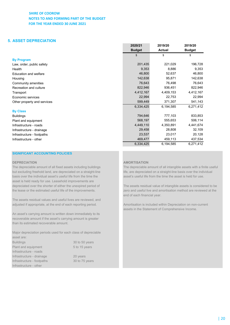# **5. ASSET DEPRECIATION**

|                             | <b>Budget</b> | <b>Actual</b> | <b>Budget</b> |
|-----------------------------|---------------|---------------|---------------|
|                             | \$            | \$            | \$            |
| <b>By Program</b>           |               |               |               |
| Law, order, public safety   | 201,435       | 221,029       | 196,728       |
| Health                      | 9,353         | 8,886         | 9,353         |
| Education and welfare       | 46,800        | 52,637        | 46,800        |
| Housing                     | 142,638       | 95,871        | 142,638       |
| Community amenities         | 76,643        | 76,498        | 76,643        |
| Recreation and culture      | 822,946       | 936,451       | 822,946       |
| Transport                   | 4,412,167     | 4,409,153     | 4,412,167     |
| Economic services           | 22,994        | 22,753        | 22,994        |
| Other property and services | 599,449       | 371,307       | 541,143       |
|                             | 6,334,425     | 6,194,585     | 6,271,412     |
| <b>By Class</b>             |               |               |               |
| <b>Buildings</b>            | 794,646       | 777,103       | 833,853       |
| Plant and equipment         | 568,197       | 555,653       | 506,114       |
| Infrastructure - roads      | 4,449,110     | 4,350,891     | 4,441,674     |
| Infrastructure - drainage   | 29,458        | 28,808        | 32,109        |
| Infrastructure - footpaths  | 23,537        | 23,017        | 20,128        |
| Infrastructure - other      | 469,477       | 459,113       | 437,534       |
|                             | 6,334,425     | 6,194,585     | 6,271,412     |

#### **SIGNIFICANT ACCOUNTING POLICIES**

basis over the individual asset's useful life from the time the asset's useful life from the time the asset is held for use. asset is held ready for use. Leasehold improvements are depreciated over the shorter of either the unexpired period of The assets residual value of intangible assets is considered to be

The assets residual values and useful lives are reviewed, and adjusted if appropriate, at the end of each reporting period. Amortisation is included within Depreciation on non-current

An asset's carrying amount is written down immediately to its recoverable amount if the asset's carrying amount is greater than its estimated recoverable amount.

Major depreciation periods used for each class of depreciable asset are:

Buildings 30 to 50 years Plant and equipment 5 to 15 years Infrastructure - roads Infrastructure - drainage 20 years Infrastructure - footpaths 30 to 75 years Infrastructure - other

#### **DEPRECIATION AMORTISATION**

The depreciable amount of all fixed assets including buildings The depreciable amount of all intangible assets with a finite useful but excluding freehold land, are depreciated on a straight-line life, are depreciated on a straight-line basis over the individual

**2020/21 2019/20 2019/20**

the lease or the estimated useful life of the improvements. zero and useful live and amortisation method are reviewed at the end of each financial year.

assets in the Statement of Comprehensive Income.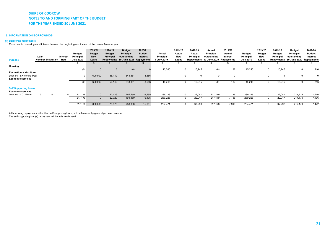#### **6. INFORMATION ON BORROWINGS**

#### **(a) Borrowing repayments**

Movement in borrowings and interest between the beginning and the end of the current financial year.

| <b>Purpose</b>                | Loan<br><b>Number Institution</b> |             | Interest<br>Rate | <b>Budget</b><br>Principal<br>1 July 2020 | 2020/21<br><b>Budget</b><br><b>New</b><br>Loans | 2020/21<br><b>Budget</b><br>Principal | <b>Budget</b><br><b>Principal</b><br>outstanding<br>Repayments 30 June 2021 | 2020/21<br><b>Budget</b><br>Interest<br>Repayments | Actual<br>Principal<br>1 July 2019 | 2019/20<br>Actual<br><b>New</b><br>Loans | 2019/20<br>Actual<br>Principal | Actual<br>Principal<br>outstanding<br>Repayments 30 June 2020 Repayments | 2019/20<br>Actual<br>Interest | Budget<br>Principal<br>July 2019 | 2019/20<br><b>Budget</b><br><b>New</b><br>Loans | 2019/20<br><b>Budget</b><br>Principal | <b>Budget</b><br>Principal<br>outstanding<br>Repayments 30 June 2020 Repayments | 2019/20<br><b>Budget</b><br>Interest |
|-------------------------------|-----------------------------------|-------------|------------------|-------------------------------------------|-------------------------------------------------|---------------------------------------|-----------------------------------------------------------------------------|----------------------------------------------------|------------------------------------|------------------------------------------|--------------------------------|--------------------------------------------------------------------------|-------------------------------|----------------------------------|-------------------------------------------------|---------------------------------------|---------------------------------------------------------------------------------|--------------------------------------|
|                               |                                   |             |                  |                                           |                                                 |                                       |                                                                             |                                                    |                                    |                                          |                                |                                                                          |                               |                                  |                                                 |                                       |                                                                                 |                                      |
| Housing                       |                                   |             |                  |                                           |                                                 |                                       |                                                                             |                                                    |                                    |                                          |                                |                                                                          |                               |                                  |                                                 |                                       |                                                                                 |                                      |
|                               |                                   |             |                  | (0)                                       | $\mathbf{0}$                                    | $\mathbf{0}$                          | (0)                                                                         |                                                    | 15,245                             |                                          | 15,245<br>0                    | (0)                                                                      | 182                           | 15,245                           |                                                 | 15,245<br>$\mathbf 0$                 | 0                                                                               | 246                                  |
| <b>Recreation and culture</b> |                                   |             |                  |                                           |                                                 |                                       |                                                                             |                                                    |                                    |                                          |                                |                                                                          |                               |                                  |                                                 |                                       |                                                                                 |                                      |
| Loan 91 - Swimming Pool       |                                   |             |                  |                                           | 600,000                                         | 56,149                                | 543,851                                                                     | 8,556                                              |                                    |                                          | 0<br>$\Omega$                  | $\Omega$                                                                 | $\Omega$                      |                                  |                                                 | 0<br>0                                | $\mathbf 0$                                                                     | $\Omega$                             |
| <b>Economic services</b>      |                                   |             |                  |                                           |                                                 |                                       |                                                                             |                                                    |                                    |                                          |                                |                                                                          |                               |                                  |                                                 |                                       |                                                                                 |                                      |
|                               |                                   |             |                  | (0)                                       | 600,000                                         | 56,149                                | 543,851                                                                     | 8,556                                              | 15,245                             |                                          | 15,245<br>0                    | (0)                                                                      | 182                           | 15,245                           |                                                 | 15,245                                |                                                                                 | 246                                  |
| <b>Self Supporting Loans</b>  |                                   |             |                  |                                           |                                                 |                                       |                                                                             |                                                    |                                    |                                          |                                |                                                                          |                               |                                  |                                                 |                                       |                                                                                 |                                      |
| <b>Economic services</b>      |                                   |             |                  |                                           |                                                 |                                       |                                                                             |                                                    |                                    |                                          |                                |                                                                          |                               |                                  |                                                 |                                       |                                                                                 |                                      |
| Loan 90 - CCLI Hotel          | $\Omega$                          | $\mathbf 0$ |                  | 217,179                                   | $\mathbf{0}$                                    | 22,729                                | 194,450                                                                     | 6,495                                              | 239,226                            |                                          | 22,047<br>$\Omega$             | 217,179                                                                  | 7,736                         | 239,226                          |                                                 | 22,047                                | 217,179                                                                         | 7,176                                |
|                               |                                   |             |                  | 217,179                                   | $\mathbf{0}$                                    | 22,729                                | 194,450                                                                     | 6,495                                              | 239,226                            |                                          | 22,047<br>0                    | 217,179                                                                  | 7,736                         | 239,226                          | $\Omega$                                        | 22,047                                | 217,179                                                                         | 7,176                                |
|                               |                                   |             |                  | 217.178                                   | 600,000                                         | 78,878                                | 738,300                                                                     | 15,051                                             | 254,471                            |                                          | 37,293<br>0                    | 217,178                                                                  | 7.918                         | 254,471                          |                                                 | 37,292                                | 217,179                                                                         | 7,422                                |

All borrowing repayments, other than self supporting loans, will be financed by general purpose revenue. The self supporting loan(s) repayment will be fully reimbursed.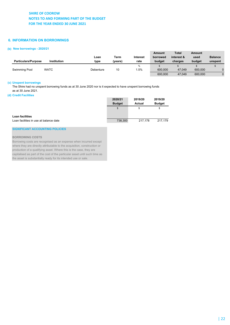### **6. INFORMATION ON BORROWINGS**

#### **(b) New borrowings - 2020/21**

| <b>Particulars/Purpose</b> | <b>Institution</b> | Loan<br>type | Term<br>(vears) | Interest<br>rate | Amount<br>borrowed<br>budaet | <b>Total</b><br>interest &<br>charges | Amount<br>used<br>budget | <b>Balance</b><br>unspent |
|----------------------------|--------------------|--------------|-----------------|------------------|------------------------------|---------------------------------------|--------------------------|---------------------------|
| Swimming Pool              | <b>WATC</b>        | Debenture    | 10              | $\%$<br>.5%      | 600,000                      | 47.049                                | 600,000                  |                           |
|                            |                    |              |                 |                  | 600,000                      | 47.049                                | 600,000                  |                           |

#### **(c) Unspent borrowings**

The Shire had no unspent borrowing funds as at 30 June 2020 nor is it expected to have unspent borrowing funds as at 30 June 2021.

#### **(d) Credit Facilities**

|                                        | 2020/21       | 2019/20 | 2019/20       |
|----------------------------------------|---------------|---------|---------------|
|                                        | <b>Budget</b> | Actual  | <b>Budget</b> |
|                                        | $\mathcal{S}$ | S       | \$            |
|                                        |               |         |               |
| Loan facilities                        |               |         |               |
| Loan facilities in use at balance date | 738,300       | 217.178 | 217.179       |

#### **SIGNIFICANT ACCOUNTING POLICIES**

#### **BORROWING COSTS**

Borrowing costs are recognised as an expense when incurred except where they are directly attributable to the acquisition, construction or production of a qualifying asset. Where this is the case, they are capitalised as part of the cost of the particular asset until such time as the asset is substantially ready for its intended use or sale.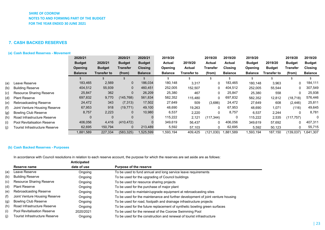# **7. CASH BACKED RESERVES**

#### **(a) Cash Backed Reserves - Movement**

|     |                                       | 2020/21        |               | 2020/21       | 2020/21        | 2019/20        |             | 2019/20       | 2019/20        | 2019/20        |               | 2019/20       | 2019/20        |
|-----|---------------------------------------|----------------|---------------|---------------|----------------|----------------|-------------|---------------|----------------|----------------|---------------|---------------|----------------|
|     |                                       | <b>Budget</b>  | 2020/21       | <b>Budget</b> | <b>Budget</b>  | Actual         | 2019/20     | <b>Actual</b> | Actual         | <b>Budget</b>  | 2019/20       | <b>Budget</b> | <b>Budget</b>  |
|     |                                       | <b>Opening</b> | <b>Budget</b> | Transfer      | <b>Closing</b> | Opening        | Actual      | Transfer      | <b>Closing</b> | Opening        | <b>Budget</b> | Transfer      | <b>Closing</b> |
|     |                                       | <b>Balance</b> | Transfer to   | (from)        | <b>Balance</b> | <b>Balance</b> | Transfer to | (from)        | <b>Balance</b> | <b>Balance</b> | Transfer to   | (from)        | <b>Balance</b> |
|     |                                       |                |               |               |                |                |             |               |                |                |               |               |                |
| (a) | Leave Reserve                         | 183,465        | 2,569         | $\mathbf 0$   | 186,034        | 180,148        | 3,317       | 0             | 183,465        | 180,148        | 3,963         |               | 184,111        |
| (b) | <b>Building Reserve</b>               | 404,512        | 55,939        | $\mathbf{0}$  | 460,451        | 252,005        | 152,507     | 0             | 404,512        | 252,005        | 55,544        | 0             | 307,549        |
| (c) | <b>Resource Sharing Reserve</b>       | 25,847         | 362           | $\mathbf 0$   | 26,209         | 25,380         | 467         | 0             | 25,847         | 25,380         | 558           |               | 25,938         |
| (d) | <b>Plant Reserve</b>                  | 697,832        | 9,770         | (145, 768)    | 561,834        | 582,352        | 115,480     | 0             | 697,832        | 582,352        | 12,812        | (18, 718)     | 576,446        |
| (e) | <b>Rebroadcasting Reserve</b>         | 24,472         | 343           | (7, 313)      | 17,502         | 27,649         | 509         | (3,686)       | 24,472         | 27,649         | 608           | (2, 446)      | 25,811         |
| (f) | Joint Venture Housing Reserve         | 67,953         | 918           | (19, 771)     | 49,100         | 48,690         | 19,263      | 0             | 67,953         | 48,690         | 1,071         | (116)         | 49,645         |
| (g) | <b>Bowling Club Reserve</b>           | 8,757          | 2,223         | $\mathbf 0$   | 10,980         | 6,537          | 2,220       | $\mathbf{0}$  | 8,757          | 6,537          | 2,244         | 0             | 8,781          |
| (h) | Road Infrastructure Reserve           | 0              | $\mathbf{0}$  | $\Omega$      |                | 115,222        | 2,121       | (117, 344)    | 0              | 115,222        | 2,535         | (117, 757)    | $\Omega$       |
| (i) | <b>Pool Revitalisation Reserve</b>    | 406,056        | 4,416         | (410, 472)    |                | 349,619        | 56,437      | 0             | 406,056        | 349,619        | 57,692        |               | 407,311        |
| (i) | <b>Tourist Infrastructure Reserve</b> | 62,695         | 150,794       | $\mathbf 0$   | 213,489        | 5,592          | 57,103      | 0             | 62,695         | 5,592          | 50,123        |               | 55,715         |
|     |                                       | 1,881,589      | 227,334       | (583, 325)    | 1,525,599      | 1,593,194      | 409,425     | (121,030)     | 1.881.589      | 1,593,194      | 187,150       | (139.037)     | 1,641,307      |

### **(b) Cash Backed Reserves - Purposes**

In accordance with Council resolutions in relation to each reserve account, the purpose for which the reserves are set aside are as follows:

|     |                                    | Anticipated |                                                                                 |
|-----|------------------------------------|-------------|---------------------------------------------------------------------------------|
|     | Reserve name                       | date of use | Purpose of the reserve                                                          |
| (a) | Leave Reserve                      | Ongoing     | To be used to fund annual and long service leave requirements                   |
| (b) | <b>Building Reserve</b>            | Ongoing     | To be used for the upgrading of Council buildings                               |
| (c) | Resource Sharing Reserve           | Ongoing     | To be used for resource sharing projects                                        |
| (d) | <b>Plant Reserve</b>               | Ongoing     | To be used for the purchase of major plant                                      |
| (e) | Rebroadcasting Reserve             | Ongoing     | To be used to maintain/upgrade equipment at rebroadcasting sites                |
| (f) | Joint Venture Housing Reserve      | Ongoing     | To be used for the maintenance and further development of joint venture housing |
| (g) | <b>Bowling Club Reserve</b>        | Ongoing     | To be used for road, footpath and drainage infrastructure projects              |
| (h) | Road Infrastructure Reserve        | Ongoing     | To be used for the future replacement of synthetic bowling green surfaces       |
| (i) | <b>Pool Revitalisation Reserve</b> | 2020/2021   | To be used for the renewal of the Coorow Swimming Pool                          |
| (j) | Tourist Infrastructure Reserve     | Ongoing     | To be used for the construction and renewal of tourist infrastructure           |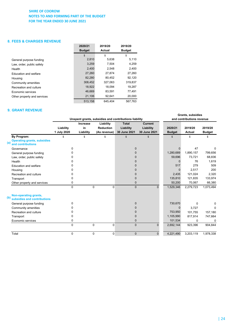### **8. FEES & CHARGES REVENUE**

|                             | 2020/21       | 2019/20 | 2019/20       |
|-----------------------------|---------------|---------|---------------|
|                             | <b>Budget</b> | Actual  | <b>Budget</b> |
|                             | \$            | \$      | \$            |
| General purpose funding     | 2,810         | 5,638   | 5,110         |
| Law, order, public safety   | 3,259         | 7,504   | 4,259         |
| Health                      | 2.400         | 2,548   | 2,400         |
| Education and welfare       | 27,260        | 27,874  | 27,260        |
| Housing                     | 82,280        | 80,452  | 92,120        |
| Community amenities         | 308,452       | 327,063 | 319,837       |
| Recreation and culture      | 18,922        | 18,094  | 19.287        |
| Economic services           | 46,669        | 83,591  | 77,491        |
| Other property and services | 21,106        | 92,641  | 20,000        |
|                             | 513,158       | 645,404 | 567.763       |

### **9. GRANT REVENUE**

|                                                                               |                          |                             |                                               | Unspent grants, subsidies and contributions liability |                                             |                          | Grants, subsidies<br>and contributions revenue |                          |  |  |
|-------------------------------------------------------------------------------|--------------------------|-----------------------------|-----------------------------------------------|-------------------------------------------------------|---------------------------------------------|--------------------------|------------------------------------------------|--------------------------|--|--|
|                                                                               | Liability<br>1 July 2020 | Increase<br>in<br>Liability | Liability<br><b>Reduction</b><br>(As revenue) | <b>Total</b><br>Liability<br>30 June 2021             | <b>Current</b><br>Liability<br>30 June 2021 | 2020/21<br><b>Budget</b> | 2019/20<br><b>Actual</b>                       | 2019/20<br><b>Budget</b> |  |  |
| By Program:<br><b>Operating grants, subsidies</b><br>(a)<br>and contributions | \$                       | \$                          | \$                                            | \$                                                    | \$                                          | \$                       | \$                                             | \$                       |  |  |
| Governance                                                                    | $\Omega$                 |                             |                                               | $\Omega$                                              |                                             |                          | 47                                             | o                        |  |  |
| General purpose funding                                                       | 0                        |                             |                                               | 0                                                     |                                             | 1,280,689                | 1,890,157                                      | 799,656                  |  |  |
| Law, order, public safety                                                     | n                        |                             |                                               |                                                       |                                             | 59,696                   | 73,721                                         | 68,836                   |  |  |
| Health                                                                        | U                        |                             |                                               | U                                                     |                                             | O                        | 76                                             | 1,619                    |  |  |
| Education and welfare                                                         | 0                        |                             |                                               |                                                       |                                             | 517                      | 279                                            | 509                      |  |  |
| Housing                                                                       | 0                        |                             |                                               |                                                       |                                             | 0                        | 2,517                                          | 200                      |  |  |
| Recreation and culture                                                        | U                        |                             |                                               |                                                       |                                             | 2,435                    | 121,024                                        | 2,320                    |  |  |
| Transport                                                                     | U                        |                             |                                               | $\Omega$                                              |                                             | 135,810                  | 121.835                                        | 133,974                  |  |  |
| Other property and services                                                   | 0                        |                             |                                               | $\Omega$                                              |                                             | 50,200                   | 70,067                                         | 66,380                   |  |  |
|                                                                               | $\Omega$                 |                             | $\Omega$<br>$\Omega$                          | $\Omega$                                              | $\Omega$                                    | 1,529,346                | 2,279,723                                      | 1,073,494                |  |  |
| Non-operating grants,<br>(b)<br>subsidies and contributions                   |                          |                             |                                               |                                                       |                                             |                          |                                                |                          |  |  |
| General purpose funding                                                       | $\Omega$                 |                             |                                               | $\Omega$                                              |                                             | 730,670                  | $\Omega$                                       | $\Omega$                 |  |  |
| Community amenities                                                           | 0                        |                             |                                               | 0                                                     |                                             | 0                        | 3,727                                          | 0                        |  |  |
| Recreation and culture                                                        | 0                        |                             |                                               | 0                                                     |                                             | 753,950                  | 101.755                                        | 157,180                  |  |  |
| Transport                                                                     | 0                        |                             |                                               | 0                                                     |                                             | 1,105,990                | 817,914                                        | 747,664                  |  |  |
| Economic services                                                             | 0                        |                             |                                               | 0                                                     |                                             | 101,534                  | <sup>0</sup>                                   | <sup>0</sup>             |  |  |
|                                                                               | $\Omega$                 |                             | 0<br>$\mathbf 0$                              | $\mathbf 0$                                           | 0                                           | 2,692,144                | 923,396                                        | 904,844                  |  |  |
| Total                                                                         | 0                        |                             | 0<br>0                                        | $\mathbf{0}$                                          | $\mathbf{0}$                                | 4,221,490                | 3,203,119                                      | 1,978,338                |  |  |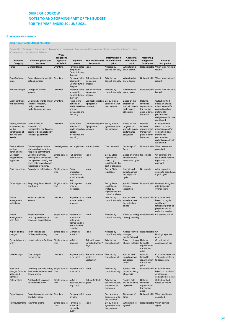#### **10. REVENUE RECOGNITION**

#### **SIGNIFICANT ACCOUNTING POLICIES**

Recognition of revenue is dependant on the source of revenue and the associated terms and conditions associated with each source of revenue and recognised as follows:

|                                                                                                                |                                                                                                                              | When                                  |                                                                                                |                                                           |                                                                                         |                                                                             |                                                                                    |                                                                                                                                               |
|----------------------------------------------------------------------------------------------------------------|------------------------------------------------------------------------------------------------------------------------------|---------------------------------------|------------------------------------------------------------------------------------------------|-----------------------------------------------------------|-----------------------------------------------------------------------------------------|-----------------------------------------------------------------------------|------------------------------------------------------------------------------------|-----------------------------------------------------------------------------------------------------------------------------------------------|
| Revenue<br>Category                                                                                            | Nature of goods and<br>services                                                                                              | obligations<br>typically<br>satisfied | Payment<br>terms                                                                               | Returns/Refunds/<br>Warranties                            | Determination<br>of transaction<br>price                                                | Allocating<br>transaction<br>price                                          | <b>Measuring</b><br>obligations<br>for returns                                     | Revenue<br>recognition                                                                                                                        |
| Rates                                                                                                          | <b>General Rates</b>                                                                                                         | Over time                             | Payment dates None                                                                             |                                                           | Adopted by                                                                              | When taxable                                                                |                                                                                    | Not applicable When rates notice is                                                                                                           |
|                                                                                                                |                                                                                                                              |                                       | adopted by<br>Council during<br>the year                                                       |                                                           | council annually                                                                        | event occurs                                                                |                                                                                    | issued                                                                                                                                        |
| Specified area<br>rates                                                                                        | Rates charge for specific Over time<br>defined purpose                                                                       |                                       | adopted by<br>Council during<br>the year                                                       | Payment dates Refund in event<br>monies are<br>unspent    | Adopted by<br>council annually                                                          | When taxable<br>event occurs                                                |                                                                                    | Not applicable When rates notice is<br>issued                                                                                                 |
| Service charges                                                                                                | Charge for specific<br>service                                                                                               | Over time                             | adopted by<br>Council during<br>the year                                                       | Payment dates Refund in event<br>monies are<br>unspent    | Adopted by<br>council annually                                                          | When taxable<br>event occurs                                                |                                                                                    | Not applicable When rates notice is<br>issued                                                                                                 |
| Grant contracts<br>with customers                                                                              | Community events, minor Over time<br>facilities, research,<br>design, planning<br>evaluation and services                    |                                       | Fixed terms<br>transfer of<br>funds based on complete<br>agreed<br>milestones and<br>reporting | Contract obligation Set by mutual<br>if project not       | agreement with<br>the customer                                                          | Based on the<br>progress of<br>works to match<br>performance<br>obligations | Returns<br>limited to<br>repayment of<br>transaction<br>price of terms<br>breached | Output method<br>based on project<br>milestones and/or<br>completion date<br>matched to<br>performance<br>obligations as inputs<br>are shared |
| Grants, subsidies Construction or<br>or contributions<br>for the<br>construction of<br>non-financial<br>assets | acquisition of<br>recognisable non-financial<br>assets to be controlled by<br>the local government                           | Over time                             | Fixed terms<br>transfer of<br>funds based on complete<br>agreed<br>milestones and<br>reporting | Contract obligation Set by mutual<br>if project not       | agreement with<br>the customer                                                          | Based on the<br>progress of<br>works to match<br>performance<br>obligations | Returns<br>limited to<br>repayment of<br>transaction<br>price of terms<br>breached | Output method<br>based on project<br>milestones and/or<br>completion date<br>matched to<br>performance<br>obligations as inputs<br>are shared |
| Grants with no<br>contract<br>commitments                                                                      | General appropriations<br>and contributions with no<br>reciprocal commitment                                                 |                                       | No obligations Not applicable Not applicable                                                   |                                                           | Cash received                                                                           | On receipt of<br>funds                                                      |                                                                                    | Not applicable When assets are<br>controlled                                                                                                  |
| Licences/<br>Registrations/<br>Approvals                                                                       | Building, planning,<br>development and animal<br>management, having the<br>same nature as a licence<br>regardless of naming. | Single point in<br>time               | Full payment<br>prior to issue                                                                 | None                                                      | Set by State<br>legislation or<br>limited by<br>legislation to the<br>cost of provision | Based on timing<br>of issue of the<br>associated rights                     | No refunds                                                                         | On payment and<br>issue of the licence,<br>registration or<br>approval                                                                        |
| Pool inspections                                                                                               | Compliance safety check Single point in                                                                                      | time                                  | Equal<br>proportion<br>based on an<br>equal annually<br>fee                                    | None                                                      | Set by State<br>legislation                                                             | Apportioned<br>equally across<br>the inspection<br>cycle                    | No refunds                                                                         | After inspection<br>complete based on a<br>4 year cycle                                                                                       |
|                                                                                                                | Other inspections Regulatory Food, Health<br>and Safety                                                                      | Single point in<br>time               | Full payment<br>prior to<br>inspection                                                         | None                                                      | Set by State<br>legislation or<br>limited by<br>legislation to the<br>cost of provision | Applied fully on<br>timing of<br>inspection                                 |                                                                                    | Not applicable Revenue recognised<br>after inspection<br>event occurs                                                                         |
| Waste<br>management<br>collections                                                                             | Kerbside collection<br>service                                                                                               | Over time                             | Payment on an None<br>annual basis in<br>advance                                               |                                                           | Adopted by<br>council annually                                                          | Apportioned<br>equally across<br>the collection<br>period                   |                                                                                    | Not applicable Output method<br>based on regular<br>weekly and<br>fortnightly period as<br>proportionate to<br>collection service             |
| Waste<br>management<br>entry fees                                                                              | Waste treatment,<br>recycling and disposal<br>service at disposal sites                                                      | Single point in<br>time               | Payment in<br>advance at<br>gate or on<br>normal trading<br>terms if credit<br>provided        | None                                                      | Adopted by<br>council annually                                                          | of entry to facility                                                        |                                                                                    | Based on timing Not applicable On entry to facility                                                                                           |
| Airport landing<br>charges                                                                                     | Permission to use<br>facilities and runway                                                                                   | Single point in<br>time               | Monthly in<br>arrears                                                                          | None                                                      | Adopted by<br>council annually                                                          | Applied fully on<br>timing of<br>landing/take-off                           | Not applicable On                                                                  | landing/departure<br>event                                                                                                                    |
| entry                                                                                                          | Property hire and Use of halls and facilities                                                                                | Single point in<br>time               | In full in<br>advance                                                                          | Refund if event<br>cancelled within 7<br>days             | Adopted by<br>council annually                                                          | Based on timing<br>of entry to facility                                     | Returns<br>limited to<br>repayment of<br>transaction<br>price                      | On entry or at<br>conclusion of hire                                                                                                          |
| Memberships                                                                                                    | Gym and pool<br>membership                                                                                                   | Over time                             | Payment in full<br>in advance                                                                  | Refund for unused Adopted by<br>portion on<br>application | council annually                                                                        | Apportioned<br>equally across<br>the access<br>period                       | Returns<br>limited to<br>repayment of<br>transaction<br>price                      | Output method Over<br>12 months matched<br>to access right                                                                                    |
| Fees and<br>charges for other<br>goods and<br>services                                                         | Cemetery services, library Single point in<br>fees, reinstatements and time<br>private works                                 |                                       | Payment in full None<br>in advance                                                             |                                                           | Adopted by<br>council annually                                                          | Applied fully<br>based on timing<br>of provision                            |                                                                                    | Not applicable Output method<br>based on provision<br>of service or<br>completion of works                                                    |
| Sale of stock                                                                                                  | Aviation fuel, kiosk and<br>visitor centre stock                                                                             | Single point in<br>time               | In full in<br>advance, on 15 goods<br>day credit                                               | Refund for faulty                                         | Adopted by<br>council annually,<br>set by mutual<br>agreement                           | Applied fully<br>based on timing<br>of provision                            | Returns<br>limited to<br>repayment of<br>transaction<br>price                      | Output method<br>based on goods                                                                                                               |
| Commissions                                                                                                    | Commissions on licencing Over time<br>and ticket sales                                                                       |                                       | Payment in full None<br>on sale                                                                |                                                           | Set by mutual<br>agreement with<br>the customer                                         | On receipt of<br>funds                                                      |                                                                                    | Not applicable When assets are<br>controlled                                                                                                  |
|                                                                                                                | Reimbursements Insurance claims                                                                                              | Single point in<br>time               | Payment in<br>arrears for<br>claimable<br>event                                                | None                                                      | Set by mutual<br>agreement with<br>the customer                                         | When claim is<br>agreed                                                     |                                                                                    | Not applicable When claim is<br>agreed                                                                                                        |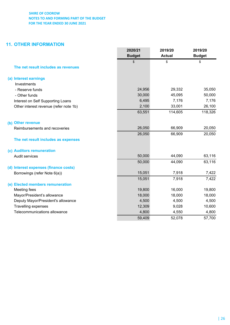# **11. OTHER INFORMATION**

|                                        | 2020/21<br><b>Budget</b> | 2019/20<br><b>Actual</b> | 2019/20<br><b>Budget</b> |
|----------------------------------------|--------------------------|--------------------------|--------------------------|
|                                        | \$                       | \$                       | \$                       |
| The net result includes as revenues    |                          |                          |                          |
| (a) Interest earnings                  |                          |                          |                          |
| Investments                            |                          |                          |                          |
| - Reserve funds                        | 24,956                   | 29,332                   | 35,050                   |
| - Other funds                          | 30,000                   | 45,095                   | 50,000                   |
| Interest on Self Supporting Loans      | 6,495                    | 7,176                    | 7,176                    |
| Other interest revenue (refer note 1b) | 2,100                    | 33,001                   | 26,100                   |
|                                        | 63,551                   | 114,605                  | 118,326                  |
| (b) Other revenue                      |                          |                          |                          |
| Reimbursements and recoveries          | 26,050                   | 66,909                   | 20,050                   |
|                                        | 26,050                   | 66,909                   | 20,050                   |
| The net result includes as expenses    |                          |                          |                          |
| (c) Auditors remuneration              |                          |                          |                          |
| <b>Audit services</b>                  | 50,000                   | 44,090                   | 63,116                   |
|                                        | 50,000                   | 44,090                   | 63,116                   |
| (d) Interest expenses (finance costs)  |                          |                          |                          |
| Borrowings (refer Note 6(a))           | 15,051                   | 7,918                    | 7,422                    |
|                                        | 15,051                   | 7,918                    | 7,422                    |
| (e) Elected members remuneration       |                          |                          |                          |
| Meeting fees                           | 19,800                   | 16,000                   | 19,800                   |
| Mayor/President's allowance            | 18,000                   | 18,000                   | 18,000                   |
| Deputy Mayor/President's allowance     | 4,500                    | 4,500                    | 4,500                    |
| Travelling expenses                    | 12,309                   | 9,028                    | 10,600                   |
| Telecommunications allowance           | 4,800                    | 4,550                    | 4,800                    |
|                                        | 59,409                   | 52,078                   | 57,700                   |